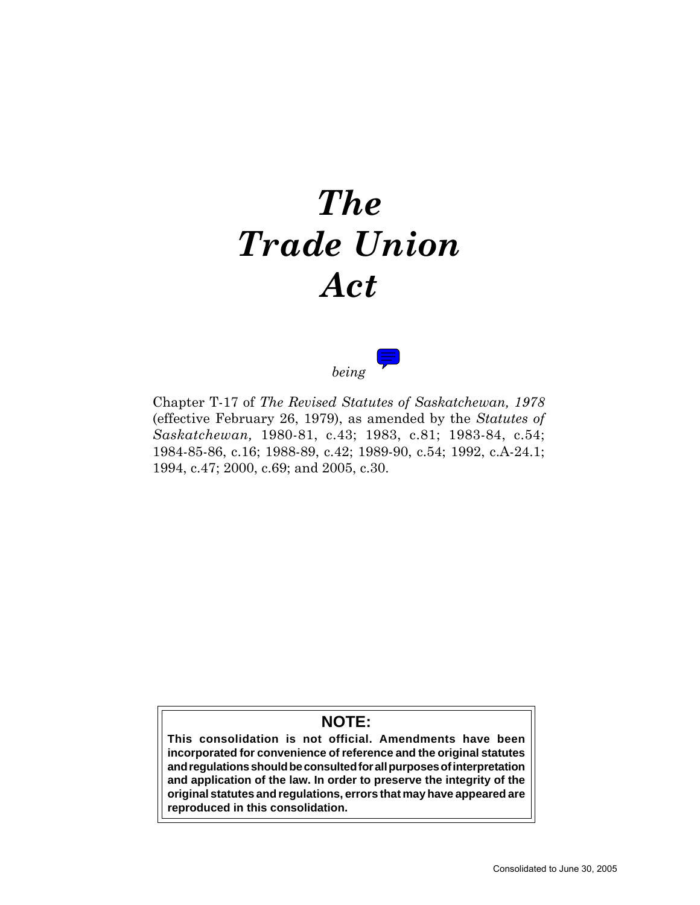# *The Trade Union Act*



Chapter T-17 of *The Revised Statutes of Saskatchewan, 1978* (effective February 26, 1979), as amended by the *Statutes of Saskatchewan,* 1980-81, c.43; 1983, c.81; 1983-84, c.54; 1984-85-86, c.16; 1988-89, c.42; 1989-90, c.54; 1992, c.A-24.1; 1994, c.47; 2000, c.69; and 2005, c.30.

# **NOTE:**

**This consolidation is not official. Amendments have been incorporated for convenience of reference and the original statutes and regulations should be consulted for all purposes of interpretation and application of the law. In order to preserve the integrity of the original statutes and regulations, errors that may have appeared are reproduced in this consolidation.**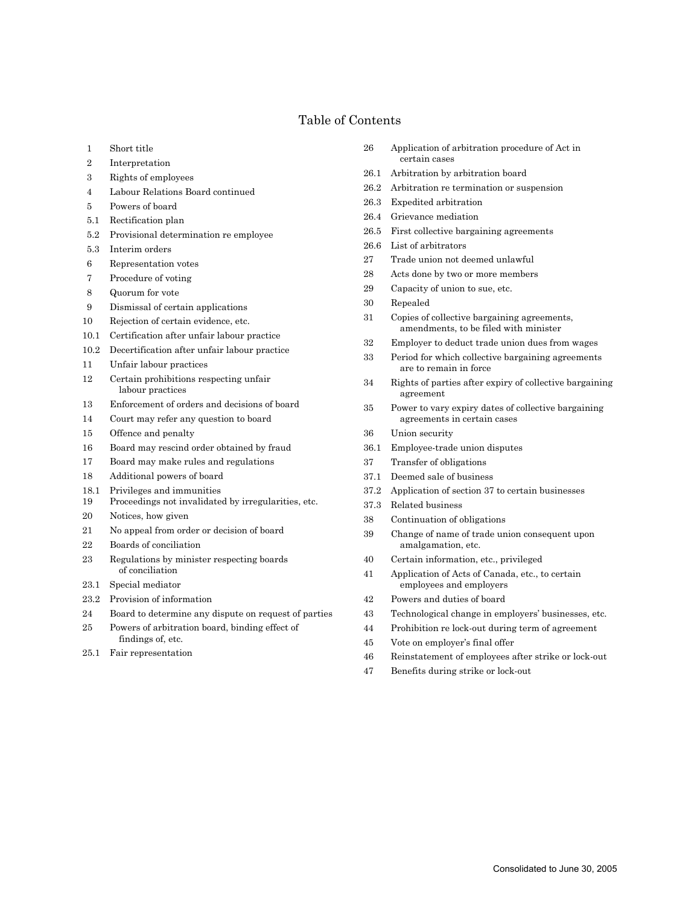# Table of Contents

- 1 Short title
- 2 Interpretation
- 3 Rights of employees
- 4 Labour Relations Board continued
- 5 Powers of board
- 5.1 Rectification plan
- 5.2 Provisional determination re employee
- 5.3 Interim orders
- 6 Representation votes
- 7 Procedure of voting
- 8 Quorum for vote
- 9 Dismissal of certain applications
- 10 Rejection of certain evidence, etc.
- 10.1 Certification after unfair labour practice
- 10.2 Decertification after unfair labour practice
- 11 Unfair labour practices
- 12 Certain prohibitions respecting unfair labour practices
- 13 Enforcement of orders and decisions of board
- 14 Court may refer any question to board
- 15 Offence and penalty
- 16 Board may rescind order obtained by fraud
- 17 Board may make rules and regulations
- 18 Additional powers of board
- 18.1 Privileges and immunities
- 19 Proceedings not invalidated by irregularities, etc.
- 20 Notices, how given
- 21 No appeal from order or decision of board
- 22 Boards of conciliation
- 23 Regulations by minister respecting boards of conciliation
- 23.1 Special mediator
- 23.2 Provision of information
- 24 Board to determine any dispute on request of parties
- 25 Powers of arbitration board, binding effect of findings of, etc.
- 25.1 Fair representation
- 26 Application of arbitration procedure of Act in certain cases
- 26.1 Arbitration by arbitration board
- 26.2 Arbitration re termination or suspension
- 26.3 Expedited arbitration
- 26.4 Grievance mediation
- 26.5 First collective bargaining agreements
- 26.6 List of arbitrators
- 27 Trade union not deemed unlawful
- 28 Acts done by two or more members
- 29 Capacity of union to sue, etc.
- 30 Repealed
- 31 Copies of collective bargaining agreements, amendments, to be filed with minister
- 32 Employer to deduct trade union dues from wages
- 33 Period for which collective bargaining agreements are to remain in force
- 34 Rights of parties after expiry of collective bargaining agreement
- 35 Power to vary expiry dates of collective bargaining agreements in certain cases
- 36 Union security
- 36.1 Employee-trade union disputes
- 37 Transfer of obligations
- 37.1 Deemed sale of business
- 37.2 Application of section 37 to certain businesses
- 37.3 Related business
- 38 Continuation of obligations
- 39 Change of name of trade union consequent upon amalgamation, etc.
- 40 Certain information, etc., privileged
- 41 Application of Acts of Canada, etc., to certain employees and employers
- 42 Powers and duties of board
- 43 Technological change in employers' businesses, etc.
- 44 Prohibition re lock-out during term of agreement
- 45 Vote on employer's final offer
- 46 Reinstatement of employees after strike or lock-out
- 47 Benefits during strike or lock-out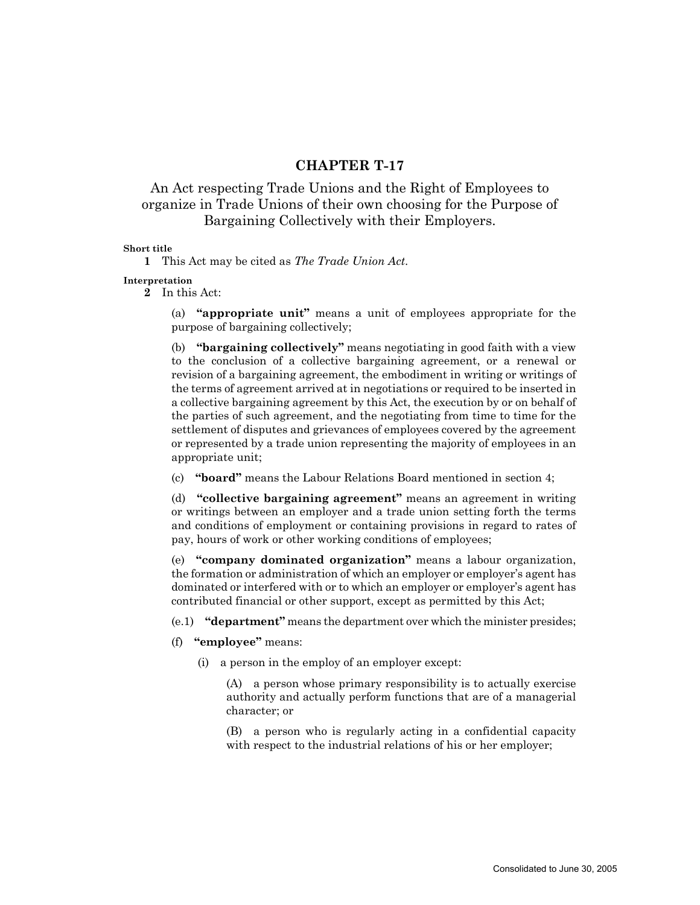# **CHAPTER T-17**

# An Act respecting Trade Unions and the Right of Employees to organize in Trade Unions of their own choosing for the Purpose of Bargaining Collectively with their Employers.

# **Short title**

**1** This Act may be cited as *The Trade Union Act*.

**Interpretation**

**2** In this Act:

(a) **"appropriate unit"** means a unit of employees appropriate for the purpose of bargaining collectively;

(b) **"bargaining collectively"** means negotiating in good faith with a view to the conclusion of a collective bargaining agreement, or a renewal or revision of a bargaining agreement, the embodiment in writing or writings of the terms of agreement arrived at in negotiations or required to be inserted in a collective bargaining agreement by this Act, the execution by or on behalf of the parties of such agreement, and the negotiating from time to time for the settlement of disputes and grievances of employees covered by the agreement or represented by a trade union representing the majority of employees in an appropriate unit;

(c) **"board"** means the Labour Relations Board mentioned in section 4;

(d) **"collective bargaining agreement"** means an agreement in writing or writings between an employer and a trade union setting forth the terms and conditions of employment or containing provisions in regard to rates of pay, hours of work or other working conditions of employees;

(e) **"company dominated organization"** means a labour organization, the formation or administration of which an employer or employer's agent has dominated or interfered with or to which an employer or employer's agent has contributed financial or other support, except as permitted by this Act;

(e.1) **"department"** means the department over which the minister presides;

- (f) **"employee"** means:
	- (i) a person in the employ of an employer except:

(A) a person whose primary responsibility is to actually exercise authority and actually perform functions that are of a managerial character; or

(B) a person who is regularly acting in a confidential capacity with respect to the industrial relations of his or her employer;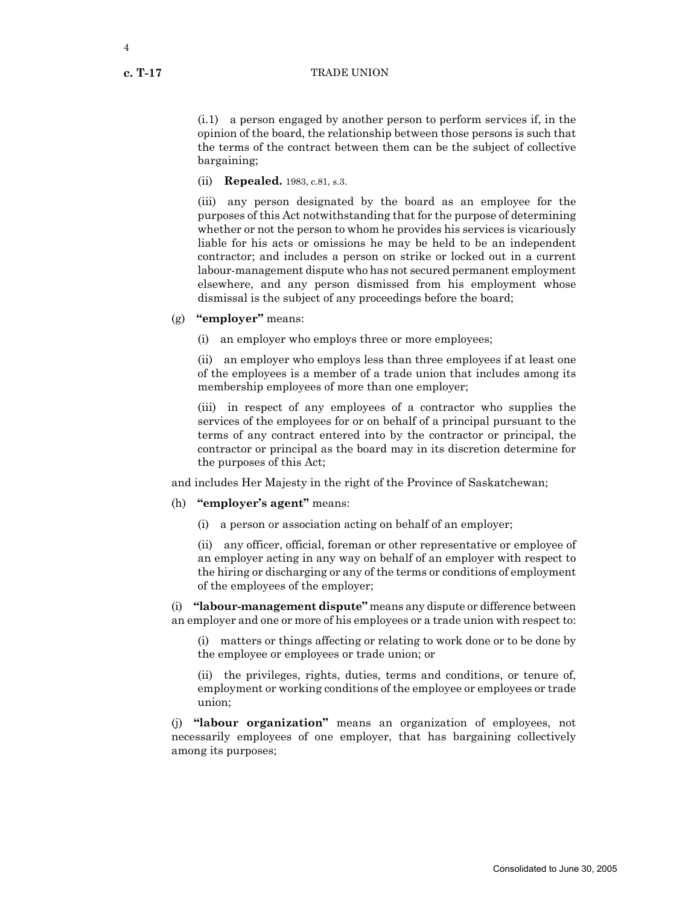(i.1) a person engaged by another person to perform services if, in the opinion of the board, the relationship between those persons is such that the terms of the contract between them can be the subject of collective bargaining;

(ii) **Repealed.** 1983, c.81, s.3.

(iii) any person designated by the board as an employee for the purposes of this Act notwithstanding that for the purpose of determining whether or not the person to whom he provides his services is vicariously liable for his acts or omissions he may be held to be an independent contractor; and includes a person on strike or locked out in a current labour-management dispute who has not secured permanent employment elsewhere, and any person dismissed from his employment whose dismissal is the subject of any proceedings before the board;

- (g) **"employer"** means:
	- (i) an employer who employs three or more employees;

(ii) an employer who employs less than three employees if at least one of the employees is a member of a trade union that includes among its membership employees of more than one employer;

(iii) in respect of any employees of a contractor who supplies the services of the employees for or on behalf of a principal pursuant to the terms of any contract entered into by the contractor or principal, the contractor or principal as the board may in its discretion determine for the purposes of this Act;

and includes Her Majesty in the right of the Province of Saskatchewan;

- (h) **"employer's agent"** means:
	- (i) a person or association acting on behalf of an employer;

(ii) any officer, official, foreman or other representative or employee of an employer acting in any way on behalf of an employer with respect to the hiring or discharging or any of the terms or conditions of employment of the employees of the employer;

(i) **"labour-management dispute"** means any dispute or difference between an employer and one or more of his employees or a trade union with respect to:

(i) matters or things affecting or relating to work done or to be done by the employee or employees or trade union; or

(ii) the privileges, rights, duties, terms and conditions, or tenure of, employment or working conditions of the employee or employees or trade union;

(j) **"labour organization"** means an organization of employees, not necessarily employees of one employer, that has bargaining collectively among its purposes;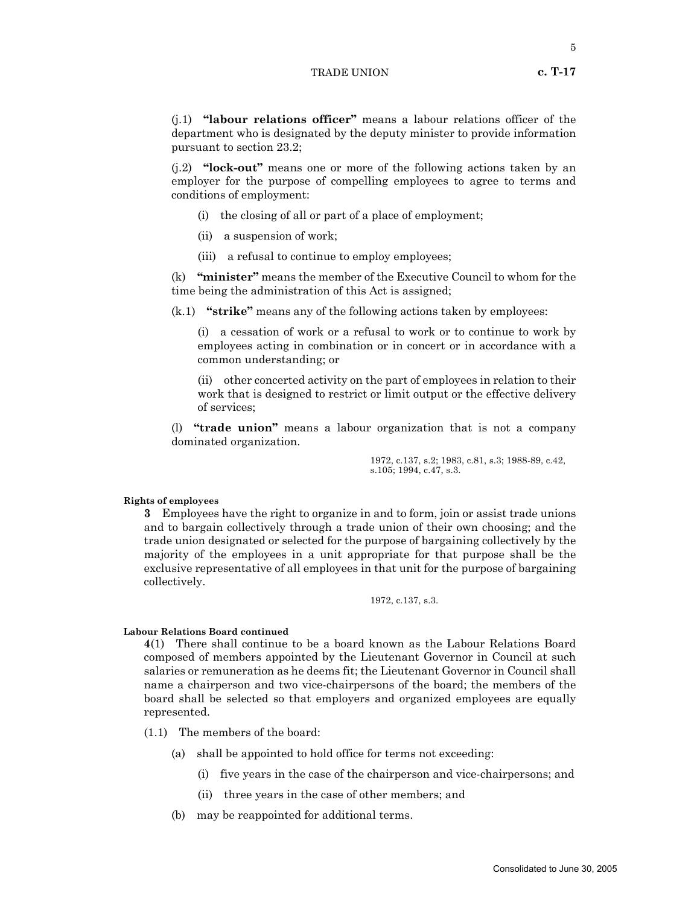(j.1) **"labour relations officer"** means a labour relations officer of the department who is designated by the deputy minister to provide information pursuant to section 23.2;

(j.2) **"lock-out"** means one or more of the following actions taken by an employer for the purpose of compelling employees to agree to terms and conditions of employment:

- (i) the closing of all or part of a place of employment;
- (ii) a suspension of work;
- (iii) a refusal to continue to employ employees;

(k) **"minister"** means the member of the Executive Council to whom for the time being the administration of this Act is assigned;

(k.1) **"strike"** means any of the following actions taken by employees:

(i) a cessation of work or a refusal to work or to continue to work by employees acting in combination or in concert or in accordance with a common understanding; or

(ii) other concerted activity on the part of employees in relation to their work that is designed to restrict or limit output or the effective delivery of services;

(l) **"trade union"** means a labour organization that is not a company dominated organization.

> 1972, c.137, s.2; 1983, c.81, s.3; 1988-89, c.42, s.105; 1994, c.47, s.3.

#### **Rights of employees**

**3** Employees have the right to organize in and to form, join or assist trade unions and to bargain collectively through a trade union of their own choosing; and the trade union designated or selected for the purpose of bargaining collectively by the majority of the employees in a unit appropriate for that purpose shall be the exclusive representative of all employees in that unit for the purpose of bargaining collectively.

1972, c.137, s.3.

# **Labour Relations Board continued**

**4**(1) There shall continue to be a board known as the Labour Relations Board composed of members appointed by the Lieutenant Governor in Council at such salaries or remuneration as he deems fit; the Lieutenant Governor in Council shall name a chairperson and two vice-chairpersons of the board; the members of the board shall be selected so that employers and organized employees are equally represented.

- (1.1) The members of the board:
	- (a) shall be appointed to hold office for terms not exceeding:
		- (i) five years in the case of the chairperson and vice-chairpersons; and
		- (ii) three years in the case of other members; and
	- (b) may be reappointed for additional terms.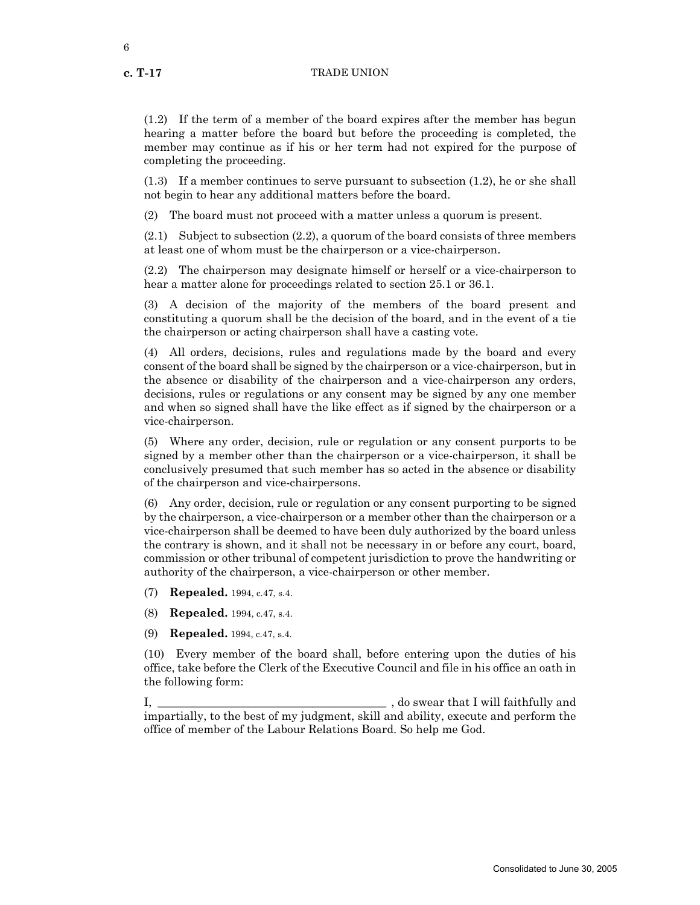6

(1.2) If the term of a member of the board expires after the member has begun hearing a matter before the board but before the proceeding is completed, the member may continue as if his or her term had not expired for the purpose of completing the proceeding.

(1.3) If a member continues to serve pursuant to subsection (1.2), he or she shall not begin to hear any additional matters before the board.

(2) The board must not proceed with a matter unless a quorum is present.

 $(2.1)$  Subject to subsection  $(2.2)$ , a quorum of the board consists of three members at least one of whom must be the chairperson or a vice-chairperson.

(2.2) The chairperson may designate himself or herself or a vice-chairperson to hear a matter alone for proceedings related to section 25.1 or 36.1.

(3) A decision of the majority of the members of the board present and constituting a quorum shall be the decision of the board, and in the event of a tie the chairperson or acting chairperson shall have a casting vote.

(4) All orders, decisions, rules and regulations made by the board and every consent of the board shall be signed by the chairperson or a vice-chairperson, but in the absence or disability of the chairperson and a vice-chairperson any orders, decisions, rules or regulations or any consent may be signed by any one member and when so signed shall have the like effect as if signed by the chairperson or a vice-chairperson.

(5) Where any order, decision, rule or regulation or any consent purports to be signed by a member other than the chairperson or a vice-chairperson, it shall be conclusively presumed that such member has so acted in the absence or disability of the chairperson and vice-chairpersons.

(6) Any order, decision, rule or regulation or any consent purporting to be signed by the chairperson, a vice-chairperson or a member other than the chairperson or a vice-chairperson shall be deemed to have been duly authorized by the board unless the contrary is shown, and it shall not be necessary in or before any court, board, commission or other tribunal of competent jurisdiction to prove the handwriting or authority of the chairperson, a vice-chairperson or other member.

(7) **Repealed.** 1994, c.47, s.4.

(8) **Repealed.** 1994, c.47, s.4.

(9) **Repealed.** 1994, c.47, s.4.

(10) Every member of the board shall, before entering upon the duties of his office, take before the Clerk of the Executive Council and file in his office an oath in the following form:

I, \_\_\_\_\_\_\_\_\_\_\_\_\_\_\_\_\_\_\_\_\_\_\_\_\_\_\_\_\_\_\_\_\_\_\_\_\_\_\_\_ , do swear that I will faithfully and impartially, to the best of my judgment, skill and ability, execute and perform the office of member of the Labour Relations Board. So help me God.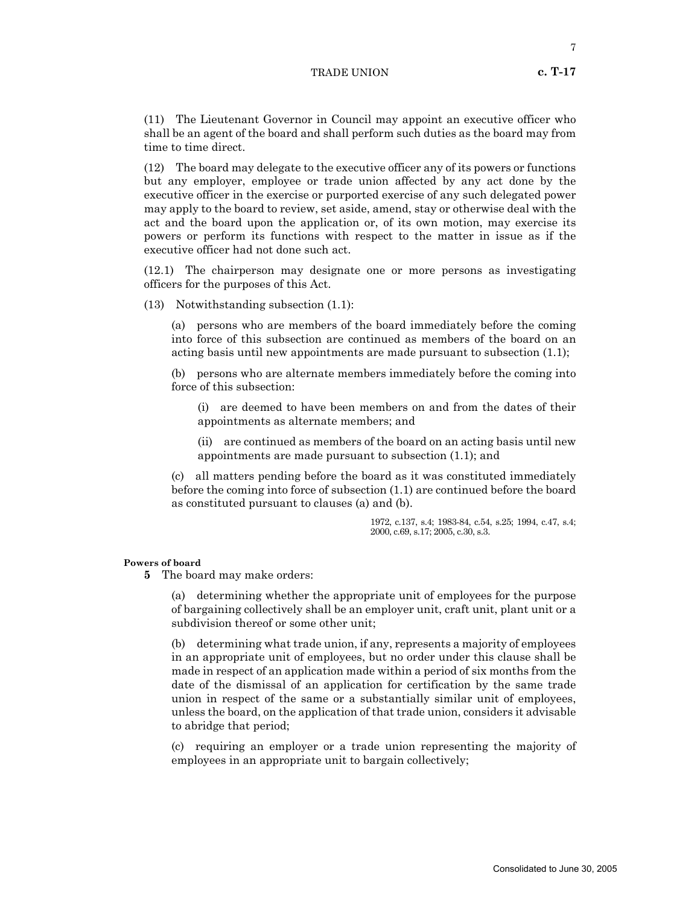(11) The Lieutenant Governor in Council may appoint an executive officer who shall be an agent of the board and shall perform such duties as the board may from time to time direct.

(12) The board may delegate to the executive officer any of its powers or functions but any employer, employee or trade union affected by any act done by the executive officer in the exercise or purported exercise of any such delegated power may apply to the board to review, set aside, amend, stay or otherwise deal with the act and the board upon the application or, of its own motion, may exercise its powers or perform its functions with respect to the matter in issue as if the executive officer had not done such act.

(12.1) The chairperson may designate one or more persons as investigating officers for the purposes of this Act.

(13) Notwithstanding subsection (1.1):

(a) persons who are members of the board immediately before the coming into force of this subsection are continued as members of the board on an acting basis until new appointments are made pursuant to subsection (1.1);

(b) persons who are alternate members immediately before the coming into force of this subsection:

(i) are deemed to have been members on and from the dates of their appointments as alternate members; and

(ii) are continued as members of the board on an acting basis until new appointments are made pursuant to subsection (1.1); and

(c) all matters pending before the board as it was constituted immediately before the coming into force of subsection (1.1) are continued before the board as constituted pursuant to clauses (a) and (b).

> 1972, c.137, s.4; 1983-84, c.54, s.25; 1994, c.47, s.4; 2000, c.69, s.17; 2005, c.30, s.3.

# **Powers of board**

**5** The board may make orders:

(a) determining whether the appropriate unit of employees for the purpose of bargaining collectively shall be an employer unit, craft unit, plant unit or a subdivision thereof or some other unit;

(b) determining what trade union, if any, represents a majority of employees in an appropriate unit of employees, but no order under this clause shall be made in respect of an application made within a period of six months from the date of the dismissal of an application for certification by the same trade union in respect of the same or a substantially similar unit of employees, unless the board, on the application of that trade union, considers it advisable to abridge that period;

(c) requiring an employer or a trade union representing the majority of employees in an appropriate unit to bargain collectively;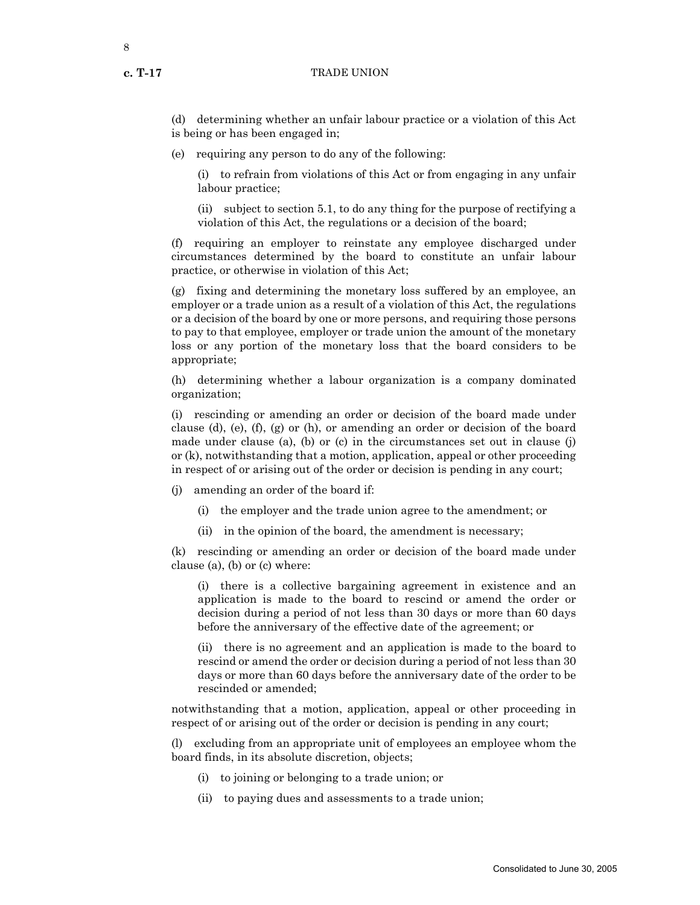8

(d) determining whether an unfair labour practice or a violation of this Act is being or has been engaged in;

(e) requiring any person to do any of the following:

(i) to refrain from violations of this Act or from engaging in any unfair labour practice;

(ii) subject to section 5.1, to do any thing for the purpose of rectifying a violation of this Act, the regulations or a decision of the board;

(f) requiring an employer to reinstate any employee discharged under circumstances determined by the board to constitute an unfair labour practice, or otherwise in violation of this Act;

(g) fixing and determining the monetary loss suffered by an employee, an employer or a trade union as a result of a violation of this Act, the regulations or a decision of the board by one or more persons, and requiring those persons to pay to that employee, employer or trade union the amount of the monetary loss or any portion of the monetary loss that the board considers to be appropriate;

(h) determining whether a labour organization is a company dominated organization;

(i) rescinding or amending an order or decision of the board made under clause (d), (e), (f), (g) or (h), or amending an order or decision of the board made under clause (a), (b) or (c) in the circumstances set out in clause (j) or (k), notwithstanding that a motion, application, appeal or other proceeding in respect of or arising out of the order or decision is pending in any court;

(j) amending an order of the board if:

- (i) the employer and the trade union agree to the amendment; or
- (ii) in the opinion of the board, the amendment is necessary;

(k) rescinding or amending an order or decision of the board made under clause (a), (b) or (c) where:

(i) there is a collective bargaining agreement in existence and an application is made to the board to rescind or amend the order or decision during a period of not less than 30 days or more than 60 days before the anniversary of the effective date of the agreement; or

(ii) there is no agreement and an application is made to the board to rescind or amend the order or decision during a period of not less than 30 days or more than 60 days before the anniversary date of the order to be rescinded or amended;

notwithstanding that a motion, application, appeal or other proceeding in respect of or arising out of the order or decision is pending in any court;

(l) excluding from an appropriate unit of employees an employee whom the board finds, in its absolute discretion, objects;

- (i) to joining or belonging to a trade union; or
- (ii) to paying dues and assessments to a trade union;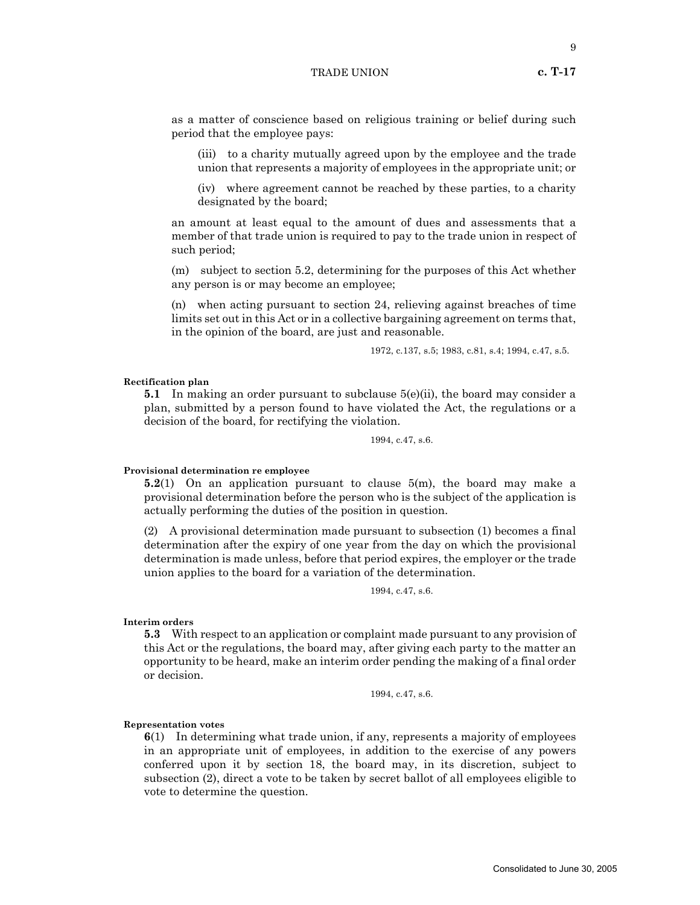as a matter of conscience based on religious training or belief during such period that the employee pays:

(iii) to a charity mutually agreed upon by the employee and the trade union that represents a majority of employees in the appropriate unit; or

(iv) where agreement cannot be reached by these parties, to a charity designated by the board;

an amount at least equal to the amount of dues and assessments that a member of that trade union is required to pay to the trade union in respect of such period;

(m) subject to section 5.2, determining for the purposes of this Act whether any person is or may become an employee;

(n) when acting pursuant to section 24, relieving against breaches of time limits set out in this Act or in a collective bargaining agreement on terms that, in the opinion of the board, are just and reasonable.

1972, c.137, s.5; 1983, c.81, s.4; 1994, c.47, s.5.

#### **Rectification plan**

**5.1** In making an order pursuant to subclause 5(e)(ii), the board may consider a plan, submitted by a person found to have violated the Act, the regulations or a decision of the board, for rectifying the violation.

1994, c.47, s.6.

# **Provisional determination re employee**

**5.2**(1) On an application pursuant to clause 5(m), the board may make a provisional determination before the person who is the subject of the application is actually performing the duties of the position in question.

(2) A provisional determination made pursuant to subsection (1) becomes a final determination after the expiry of one year from the day on which the provisional determination is made unless, before that period expires, the employer or the trade union applies to the board for a variation of the determination.

1994, c.47, s.6.

**Interim orders**

**5.3** With respect to an application or complaint made pursuant to any provision of this Act or the regulations, the board may, after giving each party to the matter an opportunity to be heard, make an interim order pending the making of a final order or decision.

1994, c.47, s.6.

#### **Representation votes**

**6**(1) In determining what trade union, if any, represents a majority of employees in an appropriate unit of employees, in addition to the exercise of any powers conferred upon it by section 18, the board may, in its discretion, subject to subsection (2), direct a vote to be taken by secret ballot of all employees eligible to vote to determine the question.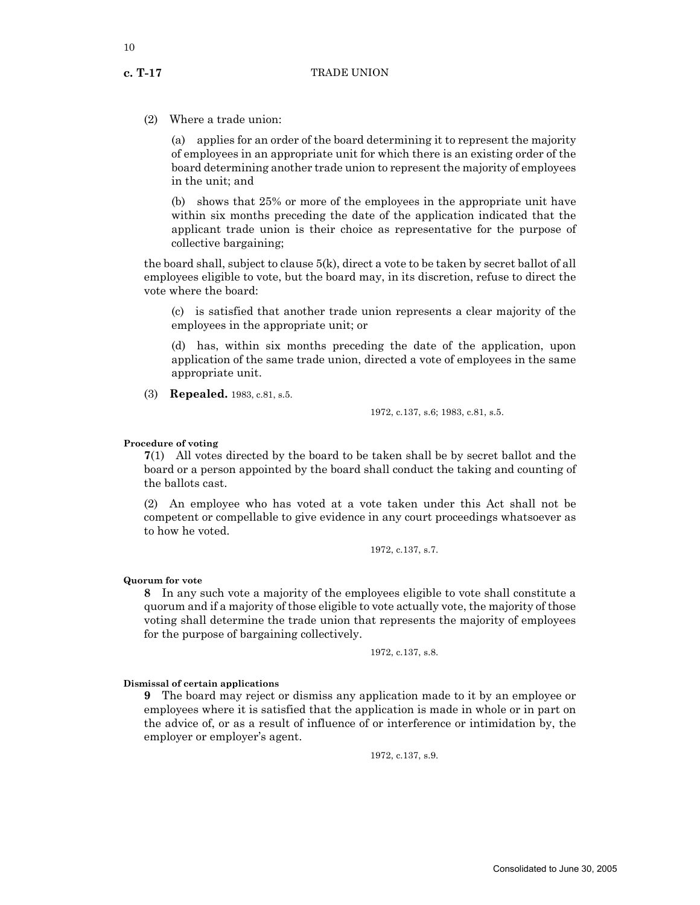(2) Where a trade union:

(a) applies for an order of the board determining it to represent the majority of employees in an appropriate unit for which there is an existing order of the board determining another trade union to represent the majority of employees in the unit; and

(b) shows that 25% or more of the employees in the appropriate unit have within six months preceding the date of the application indicated that the applicant trade union is their choice as representative for the purpose of collective bargaining;

the board shall, subject to clause  $5(k)$ , direct a vote to be taken by secret ballot of all employees eligible to vote, but the board may, in its discretion, refuse to direct the vote where the board:

(c) is satisfied that another trade union represents a clear majority of the employees in the appropriate unit; or

(d) has, within six months preceding the date of the application, upon application of the same trade union, directed a vote of employees in the same appropriate unit.

(3) **Repealed.** 1983, c.81, s.5.

1972, c.137, s.6; 1983, c.81, s.5.

# **Procedure of voting**

**7**(1) All votes directed by the board to be taken shall be by secret ballot and the board or a person appointed by the board shall conduct the taking and counting of the ballots cast.

(2) An employee who has voted at a vote taken under this Act shall not be competent or compellable to give evidence in any court proceedings whatsoever as to how he voted.

1972, c.137, s.7.

# **Quorum for vote**

**8** In any such vote a majority of the employees eligible to vote shall constitute a quorum and if a majority of those eligible to vote actually vote, the majority of those voting shall determine the trade union that represents the majority of employees for the purpose of bargaining collectively.

1972, c.137, s.8.

**Dismissal of certain applications**

**9** The board may reject or dismiss any application made to it by an employee or employees where it is satisfied that the application is made in whole or in part on the advice of, or as a result of influence of or interference or intimidation by, the employer or employer's agent.

1972, c.137, s.9.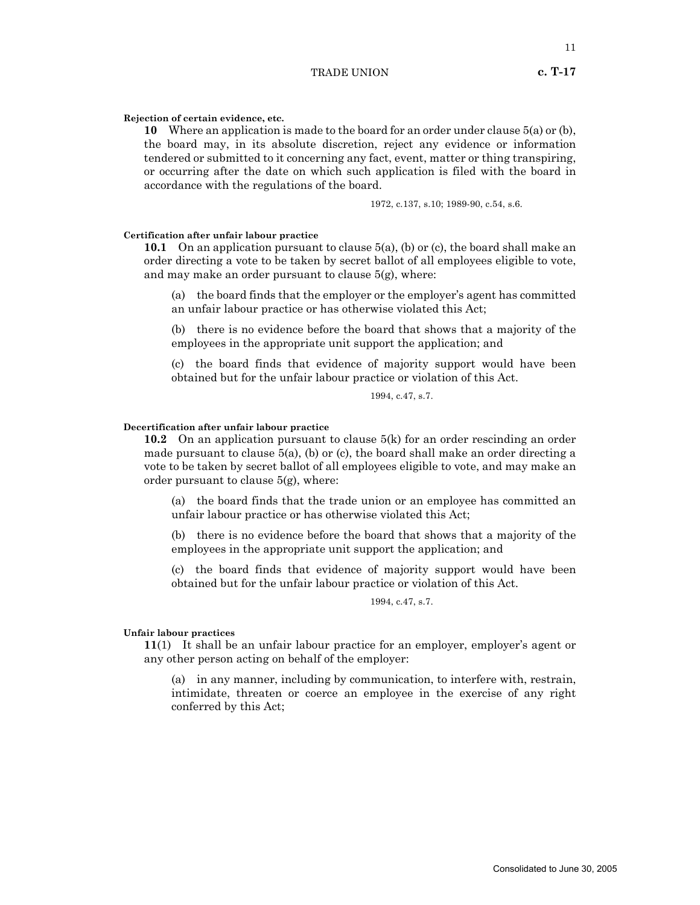# **Rejection of certain evidence, etc.**

**10** Where an application is made to the board for an order under clause 5(a) or (b), the board may, in its absolute discretion, reject any evidence or information tendered or submitted to it concerning any fact, event, matter or thing transpiring, or occurring after the date on which such application is filed with the board in accordance with the regulations of the board.

1972, c.137, s.10; 1989-90, c.54, s.6.

#### **Certification after unfair labour practice**

**10.1** On an application pursuant to clause 5(a), (b) or (c), the board shall make an order directing a vote to be taken by secret ballot of all employees eligible to vote, and may make an order pursuant to clause 5(g), where:

(a) the board finds that the employer or the employer's agent has committed an unfair labour practice or has otherwise violated this Act;

(b) there is no evidence before the board that shows that a majority of the employees in the appropriate unit support the application; and

(c) the board finds that evidence of majority support would have been obtained but for the unfair labour practice or violation of this Act.

# 1994, c.47, s.7.

#### **Decertification after unfair labour practice**

**10.2** On an application pursuant to clause 5(k) for an order rescinding an order made pursuant to clause 5(a), (b) or (c), the board shall make an order directing a vote to be taken by secret ballot of all employees eligible to vote, and may make an order pursuant to clause 5(g), where:

(a) the board finds that the trade union or an employee has committed an unfair labour practice or has otherwise violated this Act;

(b) there is no evidence before the board that shows that a majority of the employees in the appropriate unit support the application; and

(c) the board finds that evidence of majority support would have been obtained but for the unfair labour practice or violation of this Act.

# 1994, c.47, s.7.

#### **Unfair labour practices**

**11**(1) It shall be an unfair labour practice for an employer, employer's agent or any other person acting on behalf of the employer:

(a) in any manner, including by communication, to interfere with, restrain, intimidate, threaten or coerce an employee in the exercise of any right conferred by this Act;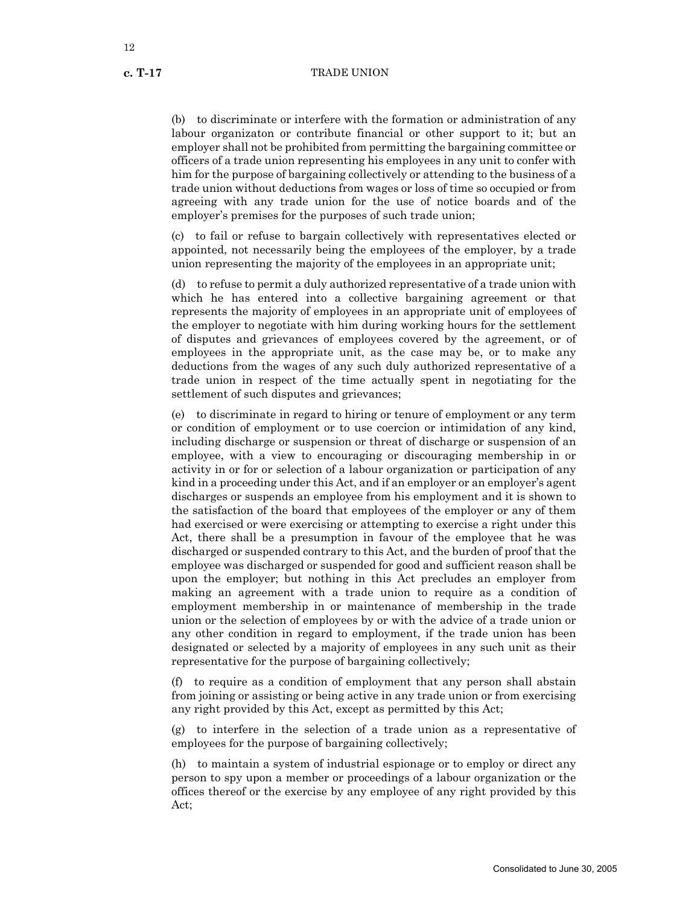(b) to discriminate or interfere with the formation or administration of any labour organizaton or contribute financial or other support to it; but an employer shall not be prohibited from permitting the bargaining committee or officers of a trade union representing his employees in any unit to confer with him for the purpose of bargaining collectively or attending to the business of a trade union without deductions from wages or loss of time so occupied or from agreeing with any trade union for the use of notice boards and of the employer's premises for the purposes of such trade union;

(c) to fail or refuse to bargain collectively with representatives elected or appointed, not necessarily being the employees of the employer, by a trade union representing the majority of the employees in an appropriate unit;

(d) to refuse to permit a duly authorized representative of a trade union with which he has entered into a collective bargaining agreement or that represents the majority of employees in an appropriate unit of employees of the employer to negotiate with him during working hours for the settlement of disputes and grievances of employees covered by the agreement, or of employees in the appropriate unit, as the case may be, or to make any deductions from the wages of any such duly authorized representative of a trade union in respect of the time actually spent in negotiating for the settlement of such disputes and grievances;

(e) to discriminate in regard to hiring or tenure of employment or any term or condition of employment or to use coercion or intimidation of any kind, including discharge or suspension or threat of discharge or suspension of an employee, with a view to encouraging or discouraging membership in or activity in or for or selection of a labour organization or participation of any kind in a proceeding under this Act, and if an employer or an employer's agent discharges or suspends an employee from his employment and it is shown to the satisfaction of the board that employees of the employer or any of them had exercised or were exercising or attempting to exercise a right under this Act, there shall be a presumption in favour of the employee that he was discharged or suspended contrary to this Act, and the burden of proof that the employee was discharged or suspended for good and sufficient reason shall be upon the employer; but nothing in this Act precludes an employer from making an agreement with a trade union to require as a condition of employment membership in or maintenance of membership in the trade union or the selection of employees by or with the advice of a trade union or any other condition in regard to employment, if the trade union has been designated or selected by a majority of employees in any such unit as their representative for the purpose of bargaining collectively;

(f) to require as a condition of employment that any person shall abstain from joining or assisting or being active in any trade union or from exercising any right provided by this Act, except as permitted by this Act;

(g) to interfere in the selection of a trade union as a representative of employees for the purpose of bargaining collectively;

(h) to maintain a system of industrial espionage or to employ or direct any person to spy upon a member or proceedings of a labour organization or the offices thereof or the exercise by any employee of any right provided by this Act;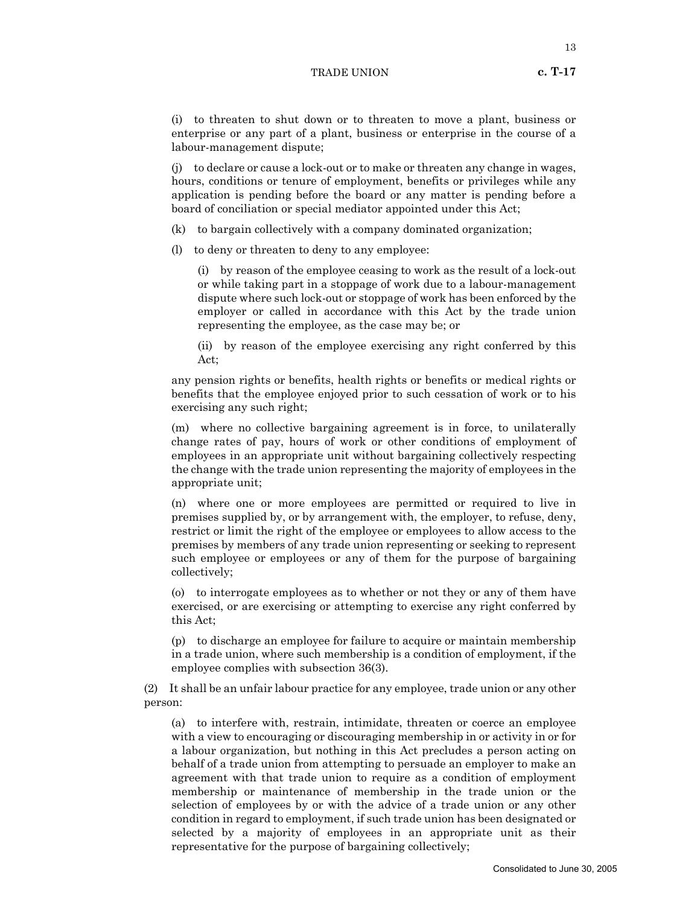(j) to declare or cause a lock-out or to make or threaten any change in wages, hours, conditions or tenure of employment, benefits or privileges while any application is pending before the board or any matter is pending before a board of conciliation or special mediator appointed under this Act;

- (k) to bargain collectively with a company dominated organization;
- (l) to deny or threaten to deny to any employee:

(i) by reason of the employee ceasing to work as the result of a lock-out or while taking part in a stoppage of work due to a labour-management dispute where such lock-out or stoppage of work has been enforced by the employer or called in accordance with this Act by the trade union representing the employee, as the case may be; or

(ii) by reason of the employee exercising any right conferred by this Act;

any pension rights or benefits, health rights or benefits or medical rights or benefits that the employee enjoyed prior to such cessation of work or to his exercising any such right;

(m) where no collective bargaining agreement is in force, to unilaterally change rates of pay, hours of work or other conditions of employment of employees in an appropriate unit without bargaining collectively respecting the change with the trade union representing the majority of employees in the appropriate unit;

(n) where one or more employees are permitted or required to live in premises supplied by, or by arrangement with, the employer, to refuse, deny, restrict or limit the right of the employee or employees to allow access to the premises by members of any trade union representing or seeking to represent such employee or employees or any of them for the purpose of bargaining collectively;

(o) to interrogate employees as to whether or not they or any of them have exercised, or are exercising or attempting to exercise any right conferred by this Act;

(p) to discharge an employee for failure to acquire or maintain membership in a trade union, where such membership is a condition of employment, if the employee complies with subsection 36(3).

(2) It shall be an unfair labour practice for any employee, trade union or any other person:

(a) to interfere with, restrain, intimidate, threaten or coerce an employee with a view to encouraging or discouraging membership in or activity in or for a labour organization, but nothing in this Act precludes a person acting on behalf of a trade union from attempting to persuade an employer to make an agreement with that trade union to require as a condition of employment membership or maintenance of membership in the trade union or the selection of employees by or with the advice of a trade union or any other condition in regard to employment, if such trade union has been designated or selected by a majority of employees in an appropriate unit as their representative for the purpose of bargaining collectively;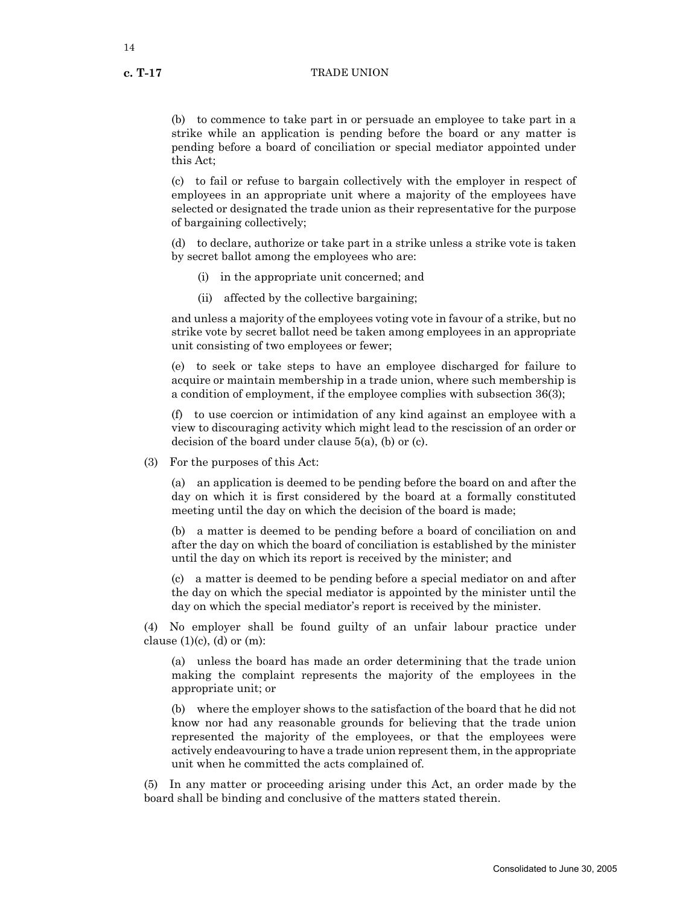(b) to commence to take part in or persuade an employee to take part in a strike while an application is pending before the board or any matter is pending before a board of conciliation or special mediator appointed under this Act;

(c) to fail or refuse to bargain collectively with the employer in respect of employees in an appropriate unit where a majority of the employees have selected or designated the trade union as their representative for the purpose of bargaining collectively;

(d) to declare, authorize or take part in a strike unless a strike vote is taken by secret ballot among the employees who are:

- (i) in the appropriate unit concerned; and
- (ii) affected by the collective bargaining;

and unless a majority of the employees voting vote in favour of a strike, but no strike vote by secret ballot need be taken among employees in an appropriate unit consisting of two employees or fewer;

(e) to seek or take steps to have an employee discharged for failure to acquire or maintain membership in a trade union, where such membership is a condition of employment, if the employee complies with subsection 36(3);

(f) to use coercion or intimidation of any kind against an employee with a view to discouraging activity which might lead to the rescission of an order or decision of the board under clause 5(a), (b) or (c).

(3) For the purposes of this Act:

(a) an application is deemed to be pending before the board on and after the day on which it is first considered by the board at a formally constituted meeting until the day on which the decision of the board is made;

(b) a matter is deemed to be pending before a board of conciliation on and after the day on which the board of conciliation is established by the minister until the day on which its report is received by the minister; and

(c) a matter is deemed to be pending before a special mediator on and after the day on which the special mediator is appointed by the minister until the day on which the special mediator's report is received by the minister.

(4) No employer shall be found guilty of an unfair labour practice under clause  $(1)(c)$ ,  $(d)$  or  $(m)$ :

(a) unless the board has made an order determining that the trade union making the complaint represents the majority of the employees in the appropriate unit; or

(b) where the employer shows to the satisfaction of the board that he did not know nor had any reasonable grounds for believing that the trade union represented the majority of the employees, or that the employees were actively endeavouring to have a trade union represent them, in the appropriate unit when he committed the acts complained of.

(5) In any matter or proceeding arising under this Act, an order made by the board shall be binding and conclusive of the matters stated therein.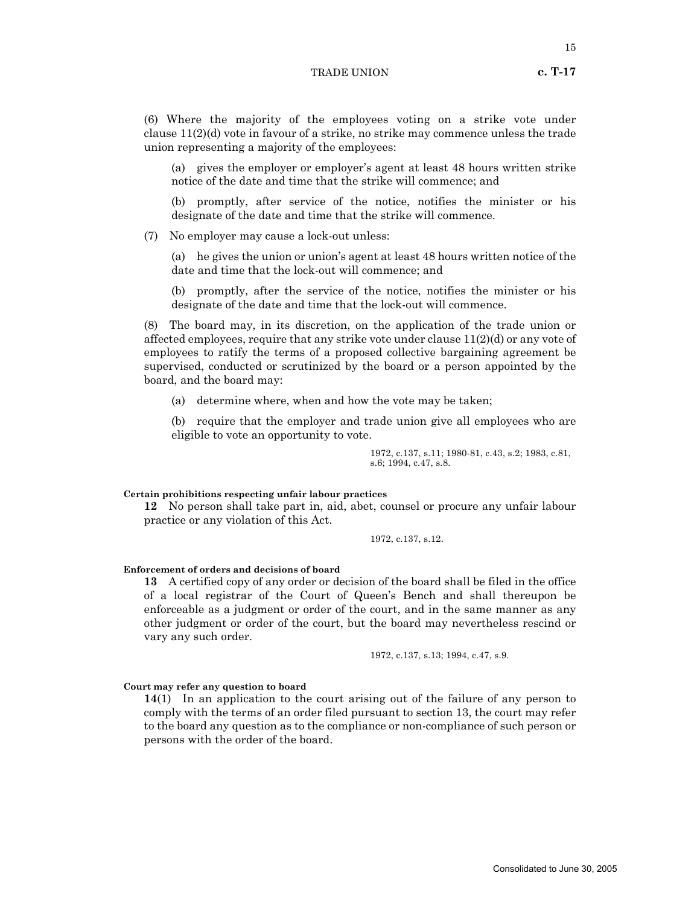(6) Where the majority of the employees voting on a strike vote under clause  $11(2)(d)$  vote in favour of a strike, no strike may commence unless the trade union representing a majority of the employees:

(a) gives the employer or employer's agent at least 48 hours written strike notice of the date and time that the strike will commence; and

(b) promptly, after service of the notice, notifies the minister or his designate of the date and time that the strike will commence.

(7) No employer may cause a lock-out unless:

(a) he gives the union or union's agent at least 48 hours written notice of the date and time that the lock-out will commence; and

(b) promptly, after the service of the notice, notifies the minister or his designate of the date and time that the lock-out will commence.

(8) The board may, in its discretion, on the application of the trade union or affected employees, require that any strike vote under clause 11(2)(d) or any vote of employees to ratify the terms of a proposed collective bargaining agreement be supervised, conducted or scrutinized by the board or a person appointed by the board, and the board may:

(a) determine where, when and how the vote may be taken;

(b) require that the employer and trade union give all employees who are eligible to vote an opportunity to vote.

> 1972, c.137, s.11; 1980-81, c.43, s.2; 1983, c.81, s.6; 1994, c.47, s.8.

#### **Certain prohibitions respecting unfair labour practices**

**12** No person shall take part in, aid, abet, counsel or procure any unfair labour practice or any violation of this Act.

1972, c.137, s.12.

#### **Enforcement of orders and decisions of board**

**13** A certified copy of any order or decision of the board shall be filed in the office of a local registrar of the Court of Queen's Bench and shall thereupon be enforceable as a judgment or order of the court, and in the same manner as any other judgment or order of the court, but the board may nevertheless rescind or vary any such order.

1972, c.137, s.13; 1994, c.47, s.9.

#### **Court may refer any question to board**

**14**(1) In an application to the court arising out of the failure of any person to comply with the terms of an order filed pursuant to section 13, the court may refer to the board any question as to the compliance or non-compliance of such person or persons with the order of the board.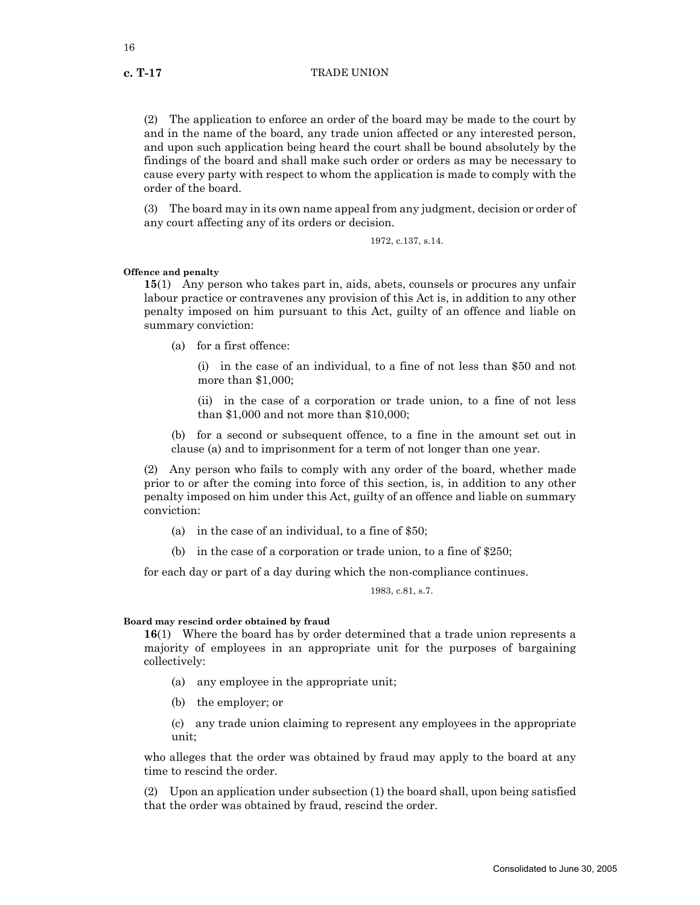(2) The application to enforce an order of the board may be made to the court by and in the name of the board, any trade union affected or any interested person, and upon such application being heard the court shall be bound absolutely by the findings of the board and shall make such order or orders as may be necessary to cause every party with respect to whom the application is made to comply with the order of the board.

(3) The board may in its own name appeal from any judgment, decision or order of any court affecting any of its orders or decision.

1972, c.137, s.14.

#### **Offence and penalty**

**15**(1) Any person who takes part in, aids, abets, counsels or procures any unfair labour practice or contravenes any provision of this Act is, in addition to any other penalty imposed on him pursuant to this Act, guilty of an offence and liable on summary conviction:

(a) for a first offence:

(i) in the case of an individual, to a fine of not less than \$50 and not more than \$1,000;

(ii) in the case of a corporation or trade union, to a fine of not less than \$1,000 and not more than \$10,000;

(b) for a second or subsequent offence, to a fine in the amount set out in clause (a) and to imprisonment for a term of not longer than one year.

(2) Any person who fails to comply with any order of the board, whether made prior to or after the coming into force of this section, is, in addition to any other penalty imposed on him under this Act, guilty of an offence and liable on summary conviction:

- (a) in the case of an individual, to a fine of \$50;
- in the case of a corporation or trade union, to a fine of  $$250;$

for each day or part of a day during which the non-compliance continues.

1983, c.81, s.7.

# **Board may rescind order obtained by fraud**

**16**(1) Where the board has by order determined that a trade union represents a majority of employees in an appropriate unit for the purposes of bargaining collectively:

- (a) any employee in the appropriate unit;
- (b) the employer; or

(c) any trade union claiming to represent any employees in the appropriate unit;

who alleges that the order was obtained by fraud may apply to the board at any time to rescind the order.

(2) Upon an application under subsection (1) the board shall, upon being satisfied that the order was obtained by fraud, rescind the order.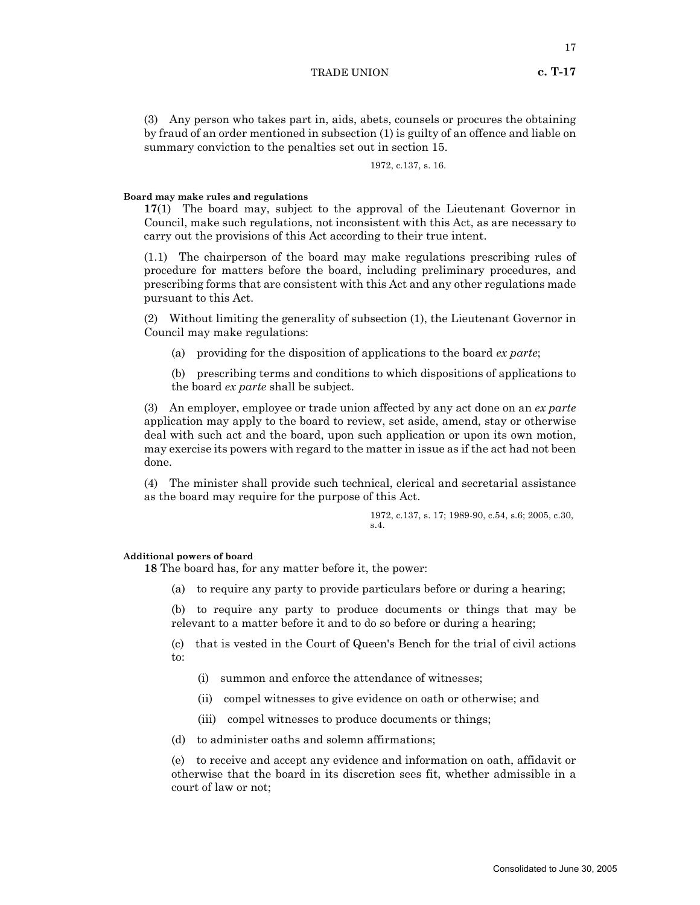(3) Any person who takes part in, aids, abets, counsels or procures the obtaining by fraud of an order mentioned in subsection (1) is guilty of an offence and liable on summary conviction to the penalties set out in section 15.

1972, c.137, s. 16.

# **Board may make rules and regulations**

**17**(1) The board may, subject to the approval of the Lieutenant Governor in Council, make such regulations, not inconsistent with this Act, as are necessary to carry out the provisions of this Act according to their true intent.

(1.1) The chairperson of the board may make regulations prescribing rules of procedure for matters before the board, including preliminary procedures, and prescribing forms that are consistent with this Act and any other regulations made pursuant to this Act.

(2) Without limiting the generality of subsection (1), the Lieutenant Governor in Council may make regulations:

(a) providing for the disposition of applications to the board *ex parte*;

(b) prescribing terms and conditions to which dispositions of applications to the board *ex parte* shall be subject.

(3) An employer, employee or trade union affected by any act done on an *ex parte* application may apply to the board to review, set aside, amend, stay or otherwise deal with such act and the board, upon such application or upon its own motion, may exercise its powers with regard to the matter in issue as if the act had not been done.

(4) The minister shall provide such technical, clerical and secretarial assistance as the board may require for the purpose of this Act.

> 1972, c.137, s. 17; 1989-90, c.54, s.6; 2005, c.30, s.4.

#### **Additional powers of board**

**18** The board has, for any matter before it, the power:

(a) to require any party to provide particulars before or during a hearing;

(b) to require any party to produce documents or things that may be relevant to a matter before it and to do so before or during a hearing;

(c) that is vested in the Court of Queen's Bench for the trial of civil actions to:

- (i) summon and enforce the attendance of witnesses;
- (ii) compel witnesses to give evidence on oath or otherwise; and
- (iii) compel witnesses to produce documents or things;
- (d) to administer oaths and solemn affirmations;

(e) to receive and accept any evidence and information on oath, affidavit or otherwise that the board in its discretion sees fit, whether admissible in a court of law or not;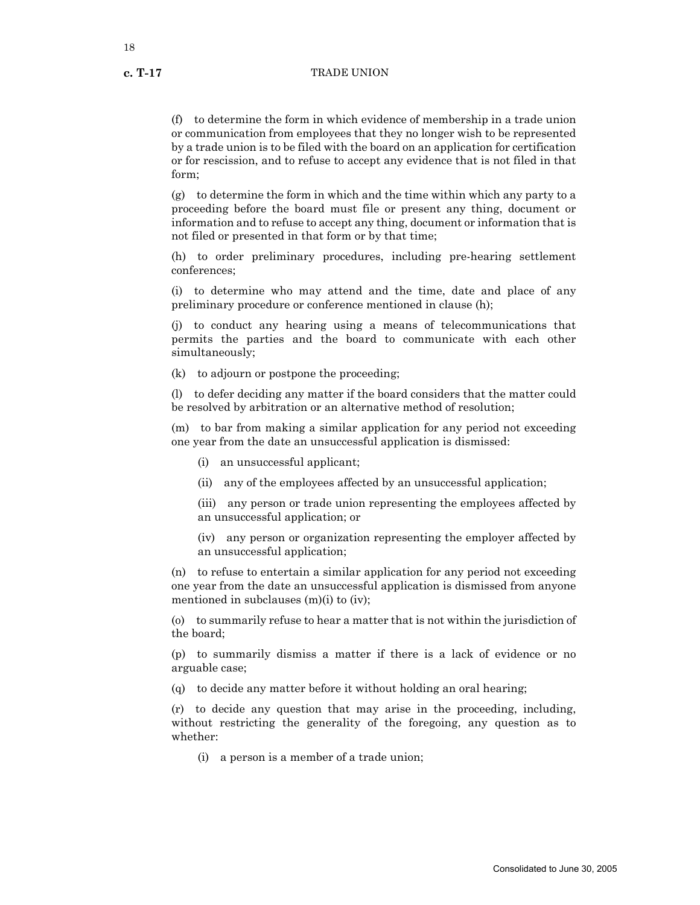18

(f) to determine the form in which evidence of membership in a trade union or communication from employees that they no longer wish to be represented by a trade union is to be filed with the board on an application for certification or for rescission, and to refuse to accept any evidence that is not filed in that form;

(g) to determine the form in which and the time within which any party to a proceeding before the board must file or present any thing, document or information and to refuse to accept any thing, document or information that is not filed or presented in that form or by that time;

(h) to order preliminary procedures, including pre-hearing settlement conferences;

(i) to determine who may attend and the time, date and place of any preliminary procedure or conference mentioned in clause (h);

(j) to conduct any hearing using a means of telecommunications that permits the parties and the board to communicate with each other simultaneously;

(k) to adjourn or postpone the proceeding;

(l) to defer deciding any matter if the board considers that the matter could be resolved by arbitration or an alternative method of resolution;

(m) to bar from making a similar application for any period not exceeding one year from the date an unsuccessful application is dismissed:

- (i) an unsuccessful applicant;
- (ii) any of the employees affected by an unsuccessful application;

(iii) any person or trade union representing the employees affected by an unsuccessful application; or

(iv) any person or organization representing the employer affected by an unsuccessful application;

(n) to refuse to entertain a similar application for any period not exceeding one year from the date an unsuccessful application is dismissed from anyone mentioned in subclauses  $(m)(i)$  to  $(iv)$ ;

(o) to summarily refuse to hear a matter that is not within the jurisdiction of the board;

(p) to summarily dismiss a matter if there is a lack of evidence or no arguable case;

(q) to decide any matter before it without holding an oral hearing;

(r) to decide any question that may arise in the proceeding, including, without restricting the generality of the foregoing, any question as to whether:

(i) a person is a member of a trade union;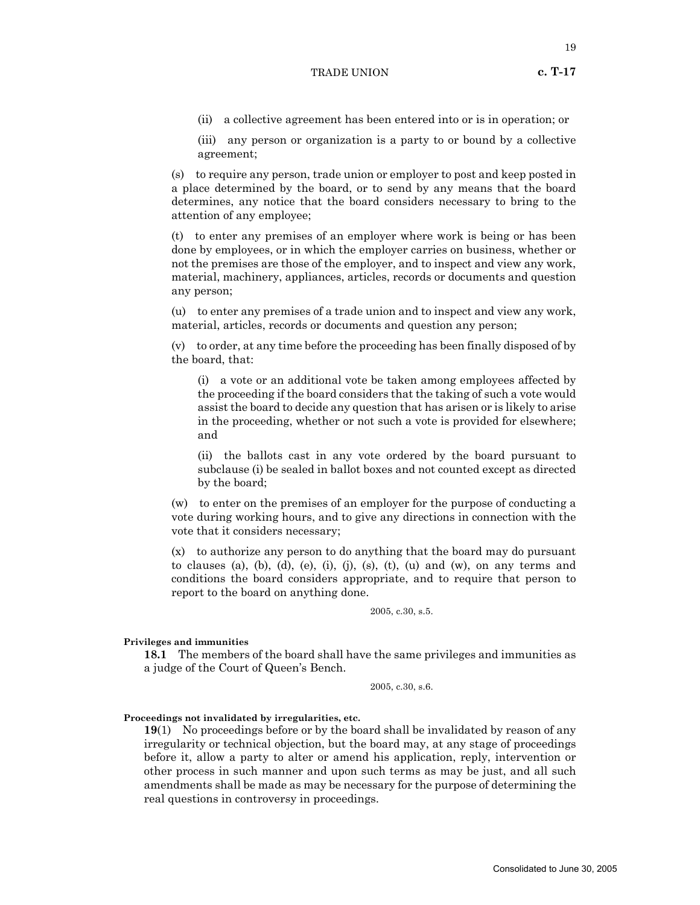19

- (ii) a collective agreement has been entered into or is in operation; or
- (iii) any person or organization is a party to or bound by a collective agreement;

(s) to require any person, trade union or employer to post and keep posted in a place determined by the board, or to send by any means that the board determines, any notice that the board considers necessary to bring to the attention of any employee;

(t) to enter any premises of an employer where work is being or has been done by employees, or in which the employer carries on business, whether or not the premises are those of the employer, and to inspect and view any work, material, machinery, appliances, articles, records or documents and question any person;

(u) to enter any premises of a trade union and to inspect and view any work, material, articles, records or documents and question any person;

(v) to order, at any time before the proceeding has been finally disposed of by the board, that:

(i) a vote or an additional vote be taken among employees affected by the proceeding if the board considers that the taking of such a vote would assist the board to decide any question that has arisen or is likely to arise in the proceeding, whether or not such a vote is provided for elsewhere; and

(ii) the ballots cast in any vote ordered by the board pursuant to subclause (i) be sealed in ballot boxes and not counted except as directed by the board;

(w) to enter on the premises of an employer for the purpose of conducting a vote during working hours, and to give any directions in connection with the vote that it considers necessary;

(x) to authorize any person to do anything that the board may do pursuant to clauses (a), (b), (d), (e), (i), (j), (s), (t), (u) and (w), on any terms and conditions the board considers appropriate, and to require that person to report to the board on anything done.

2005, c.30, s.5.

# **Privileges and immunities**

**18.1** The members of the board shall have the same privileges and immunities as a judge of the Court of Queen's Bench.

2005, c.30, s.6.

# **Proceedings not invalidated by irregularities, etc.**

**19**(1) No proceedings before or by the board shall be invalidated by reason of any irregularity or technical objection, but the board may, at any stage of proceedings before it, allow a party to alter or amend his application, reply, intervention or other process in such manner and upon such terms as may be just, and all such amendments shall be made as may be necessary for the purpose of determining the real questions in controversy in proceedings.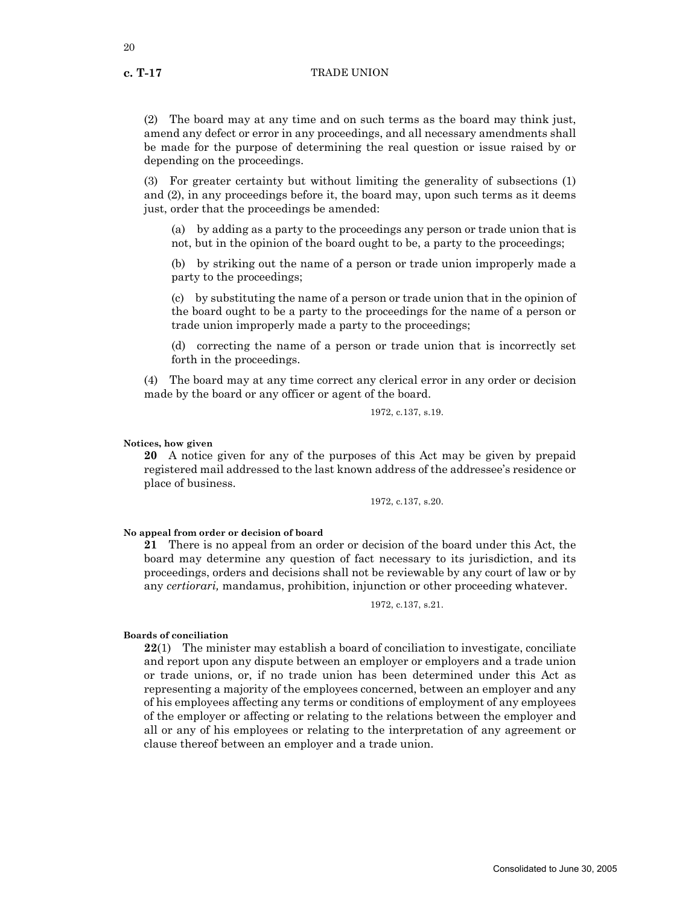(2) The board may at any time and on such terms as the board may think just, amend any defect or error in any proceedings, and all necessary amendments shall be made for the purpose of determining the real question or issue raised by or depending on the proceedings.

(3) For greater certainty but without limiting the generality of subsections (1) and (2), in any proceedings before it, the board may, upon such terms as it deems just, order that the proceedings be amended:

(a) by adding as a party to the proceedings any person or trade union that is not, but in the opinion of the board ought to be, a party to the proceedings;

(b) by striking out the name of a person or trade union improperly made a party to the proceedings;

(c) by substituting the name of a person or trade union that in the opinion of the board ought to be a party to the proceedings for the name of a person or trade union improperly made a party to the proceedings;

(d) correcting the name of a person or trade union that is incorrectly set forth in the proceedings.

(4) The board may at any time correct any clerical error in any order or decision made by the board or any officer or agent of the board.

1972, c.137, s.19.

#### **Notices, how given**

**20** A notice given for any of the purposes of this Act may be given by prepaid registered mail addressed to the last known address of the addressee's residence or place of business.

1972, c.137, s.20.

**No appeal from order or decision of board**

**21** There is no appeal from an order or decision of the board under this Act, the board may determine any question of fact necessary to its jurisdiction, and its proceedings, orders and decisions shall not be reviewable by any court of law or by any *certiorari,* mandamus, prohibition, injunction or other proceeding whatever.

1972, c.137, s.21.

# **Boards of conciliation**

**22**(1) The minister may establish a board of conciliation to investigate, conciliate and report upon any dispute between an employer or employers and a trade union or trade unions, or, if no trade union has been determined under this Act as representing a majority of the employees concerned, between an employer and any of his employees affecting any terms or conditions of employment of any employees of the employer or affecting or relating to the relations between the employer and all or any of his employees or relating to the interpretation of any agreement or clause thereof between an employer and a trade union.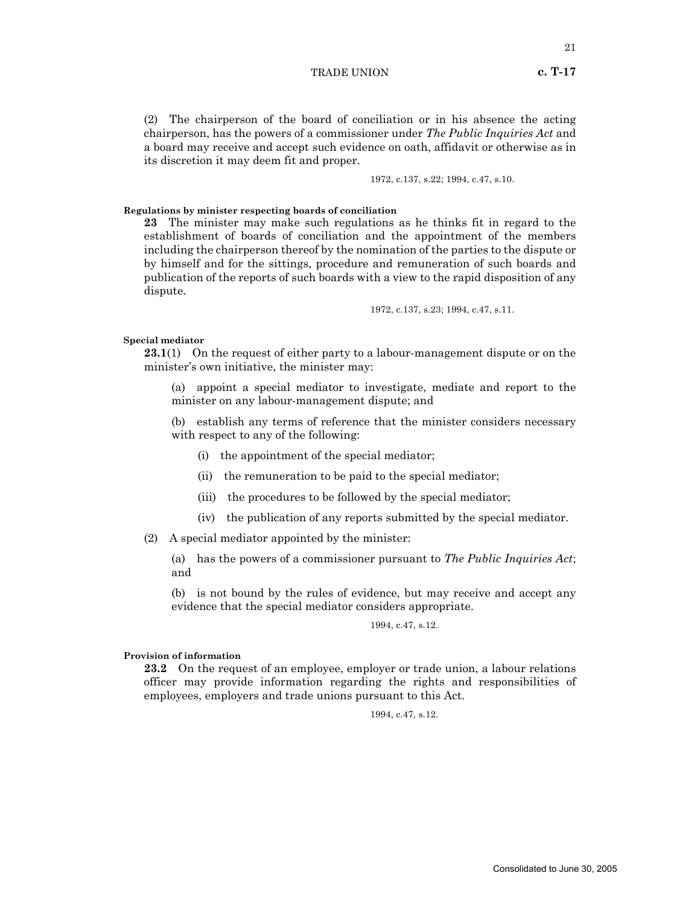1972, c.137, s.22; 1994, c.47, s.10.

**Regulations by minister respecting boards of conciliation**

**23** The minister may make such regulations as he thinks fit in regard to the establishment of boards of conciliation and the appointment of the members including the chairperson thereof by the nomination of the parties to the dispute or by himself and for the sittings, procedure and remuneration of such boards and publication of the reports of such boards with a view to the rapid disposition of any dispute.

1972, c.137, s.23; 1994, c.47, s.11.

#### **Special mediator**

**23.1**(1) On the request of either party to a labour-management dispute or on the minister's own initiative, the minister may:

(a) appoint a special mediator to investigate, mediate and report to the minister on any labour-management dispute; and

(b) establish any terms of reference that the minister considers necessary with respect to any of the following:

- (i) the appointment of the special mediator;
- (ii) the remuneration to be paid to the special mediator;
- (iii) the procedures to be followed by the special mediator;
- (iv) the publication of any reports submitted by the special mediator.
- (2) A special mediator appointed by the minister:

(a) has the powers of a commissioner pursuant to *The Public Inquiries Act*; and

(b) is not bound by the rules of evidence, but may receive and accept any evidence that the special mediator considers appropriate.

1994, c.47, s.12.

# **Provision of information**

**23.2** On the request of an employee, employer or trade union, a labour relations officer may provide information regarding the rights and responsibilities of employees, employers and trade unions pursuant to this Act.

1994, c.47, s.12.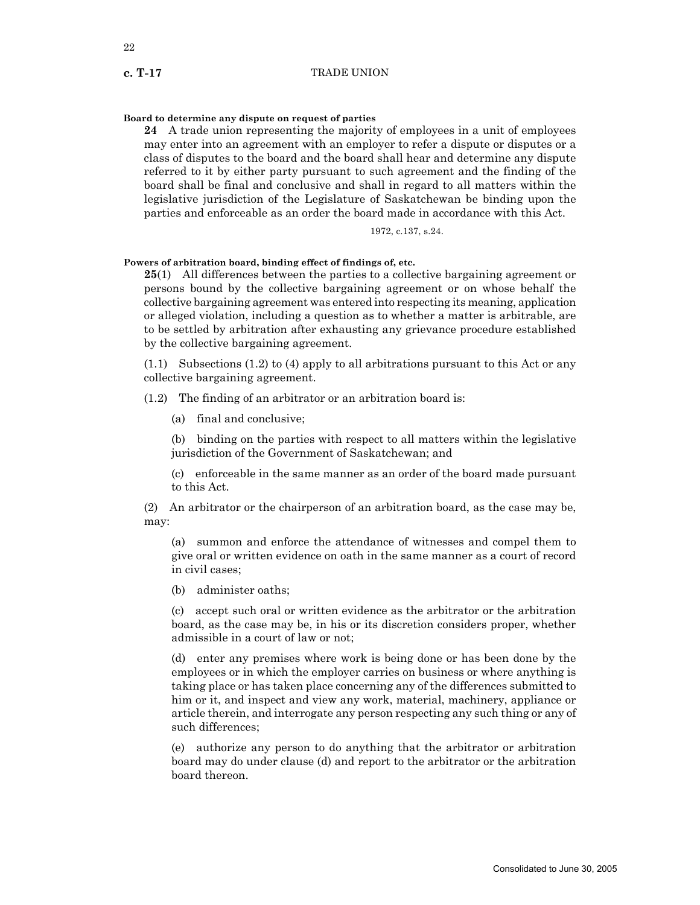# **Board to determine any dispute on request of parties**

**24** A trade union representing the majority of employees in a unit of employees may enter into an agreement with an employer to refer a dispute or disputes or a class of disputes to the board and the board shall hear and determine any dispute referred to it by either party pursuant to such agreement and the finding of the board shall be final and conclusive and shall in regard to all matters within the legislative jurisdiction of the Legislature of Saskatchewan be binding upon the parties and enforceable as an order the board made in accordance with this Act.

$$
1972,\,c.137,\,s.24.
$$

# **Powers of arbitration board, binding effect of findings of, etc.**

**25**(1) All differences between the parties to a collective bargaining agreement or persons bound by the collective bargaining agreement or on whose behalf the collective bargaining agreement was entered into respecting its meaning, application or alleged violation, including a question as to whether a matter is arbitrable, are to be settled by arbitration after exhausting any grievance procedure established by the collective bargaining agreement.

(1.1) Subsections (1.2) to (4) apply to all arbitrations pursuant to this Act or any collective bargaining agreement.

(1.2) The finding of an arbitrator or an arbitration board is:

(a) final and conclusive;

(b) binding on the parties with respect to all matters within the legislative jurisdiction of the Government of Saskatchewan; and

(c) enforceable in the same manner as an order of the board made pursuant to this Act.

(2) An arbitrator or the chairperson of an arbitration board, as the case may be, may:

(a) summon and enforce the attendance of witnesses and compel them to give oral or written evidence on oath in the same manner as a court of record in civil cases;

(b) administer oaths;

(c) accept such oral or written evidence as the arbitrator or the arbitration board, as the case may be, in his or its discretion considers proper, whether admissible in a court of law or not;

(d) enter any premises where work is being done or has been done by the employees or in which the employer carries on business or where anything is taking place or has taken place concerning any of the differences submitted to him or it, and inspect and view any work, material, machinery, appliance or article therein, and interrogate any person respecting any such thing or any of such differences;

(e) authorize any person to do anything that the arbitrator or arbitration board may do under clause (d) and report to the arbitrator or the arbitration board thereon.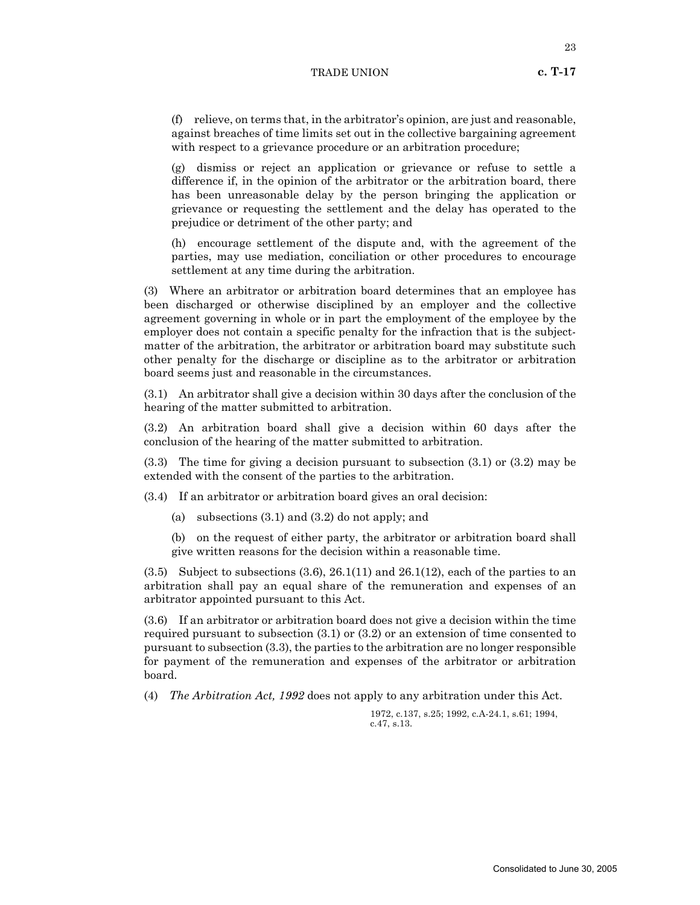(f) relieve, on terms that, in the arbitrator's opinion, are just and reasonable, against breaches of time limits set out in the collective bargaining agreement with respect to a grievance procedure or an arbitration procedure;

(g) dismiss or reject an application or grievance or refuse to settle a difference if, in the opinion of the arbitrator or the arbitration board, there has been unreasonable delay by the person bringing the application or grievance or requesting the settlement and the delay has operated to the prejudice or detriment of the other party; and

(h) encourage settlement of the dispute and, with the agreement of the parties, may use mediation, conciliation or other procedures to encourage settlement at any time during the arbitration.

(3) Where an arbitrator or arbitration board determines that an employee has been discharged or otherwise disciplined by an employer and the collective agreement governing in whole or in part the employment of the employee by the employer does not contain a specific penalty for the infraction that is the subjectmatter of the arbitration, the arbitrator or arbitration board may substitute such other penalty for the discharge or discipline as to the arbitrator or arbitration board seems just and reasonable in the circumstances.

(3.1) An arbitrator shall give a decision within 30 days after the conclusion of the hearing of the matter submitted to arbitration.

(3.2) An arbitration board shall give a decision within 60 days after the conclusion of the hearing of the matter submitted to arbitration.

(3.3) The time for giving a decision pursuant to subsection (3.1) or (3.2) may be extended with the consent of the parties to the arbitration.

(3.4) If an arbitrator or arbitration board gives an oral decision:

- (a) subsections (3.1) and (3.2) do not apply; and
- (b) on the request of either party, the arbitrator or arbitration board shall give written reasons for the decision within a reasonable time.

 $(3.5)$  Subject to subsections  $(3.6)$ ,  $26.1(11)$  and  $26.1(12)$ , each of the parties to an arbitration shall pay an equal share of the remuneration and expenses of an arbitrator appointed pursuant to this Act.

(3.6) If an arbitrator or arbitration board does not give a decision within the time required pursuant to subsection (3.1) or (3.2) or an extension of time consented to pursuant to subsection (3.3), the parties to the arbitration are no longer responsible for payment of the remuneration and expenses of the arbitrator or arbitration board.

(4) *The Arbitration Act, 1992* does not apply to any arbitration under this Act.

1972, c.137, s.25; 1992, c.A-24.1, s.61; 1994, c.47, s.13.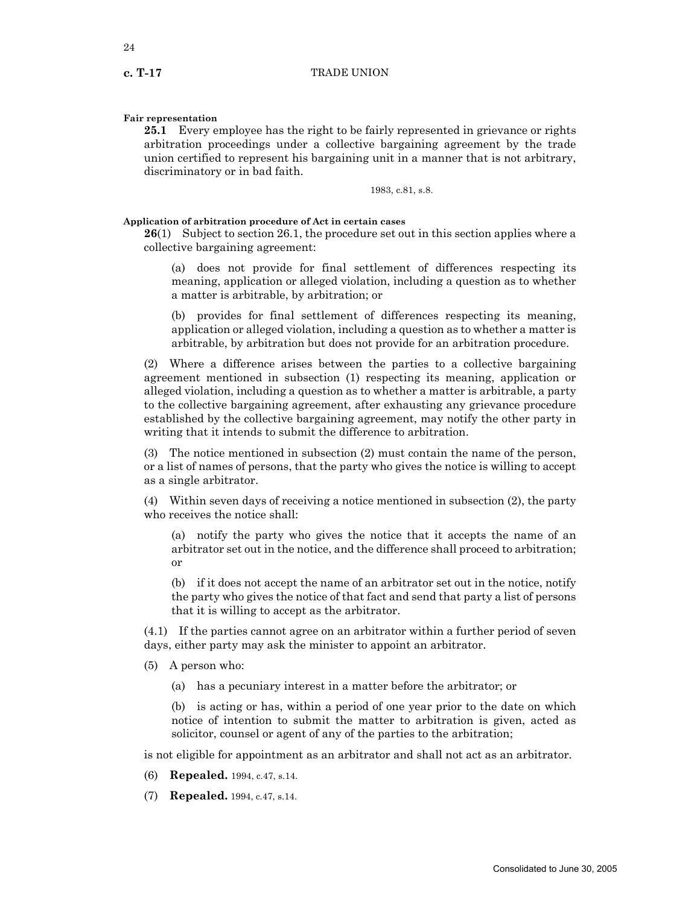# **Fair representation**

**25.1** Every employee has the right to be fairly represented in grievance or rights arbitration proceedings under a collective bargaining agreement by the trade union certified to represent his bargaining unit in a manner that is not arbitrary, discriminatory or in bad faith.

1983, c.81, s.8.

# **Application of arbitration procedure of Act in certain cases**

**26**(1) Subject to section 26.1, the procedure set out in this section applies where a collective bargaining agreement:

(a) does not provide for final settlement of differences respecting its meaning, application or alleged violation, including a question as to whether a matter is arbitrable, by arbitration; or

(b) provides for final settlement of differences respecting its meaning, application or alleged violation, including a question as to whether a matter is arbitrable, by arbitration but does not provide for an arbitration procedure.

(2) Where a difference arises between the parties to a collective bargaining agreement mentioned in subsection (1) respecting its meaning, application or alleged violation, including a question as to whether a matter is arbitrable, a party to the collective bargaining agreement, after exhausting any grievance procedure established by the collective bargaining agreement, may notify the other party in writing that it intends to submit the difference to arbitration.

(3) The notice mentioned in subsection (2) must contain the name of the person, or a list of names of persons, that the party who gives the notice is willing to accept as a single arbitrator.

(4) Within seven days of receiving a notice mentioned in subsection (2), the party who receives the notice shall:

(a) notify the party who gives the notice that it accepts the name of an arbitrator set out in the notice, and the difference shall proceed to arbitration; or

(b) if it does not accept the name of an arbitrator set out in the notice, notify the party who gives the notice of that fact and send that party a list of persons that it is willing to accept as the arbitrator.

(4.1) If the parties cannot agree on an arbitrator within a further period of seven days, either party may ask the minister to appoint an arbitrator.

- (5) A person who:
	- (a) has a pecuniary interest in a matter before the arbitrator; or

(b) is acting or has, within a period of one year prior to the date on which notice of intention to submit the matter to arbitration is given, acted as solicitor, counsel or agent of any of the parties to the arbitration;

is not eligible for appointment as an arbitrator and shall not act as an arbitrator.

- (6) **Repealed.** 1994, c.47, s.14.
- (7) **Repealed.** 1994, c.47, s.14.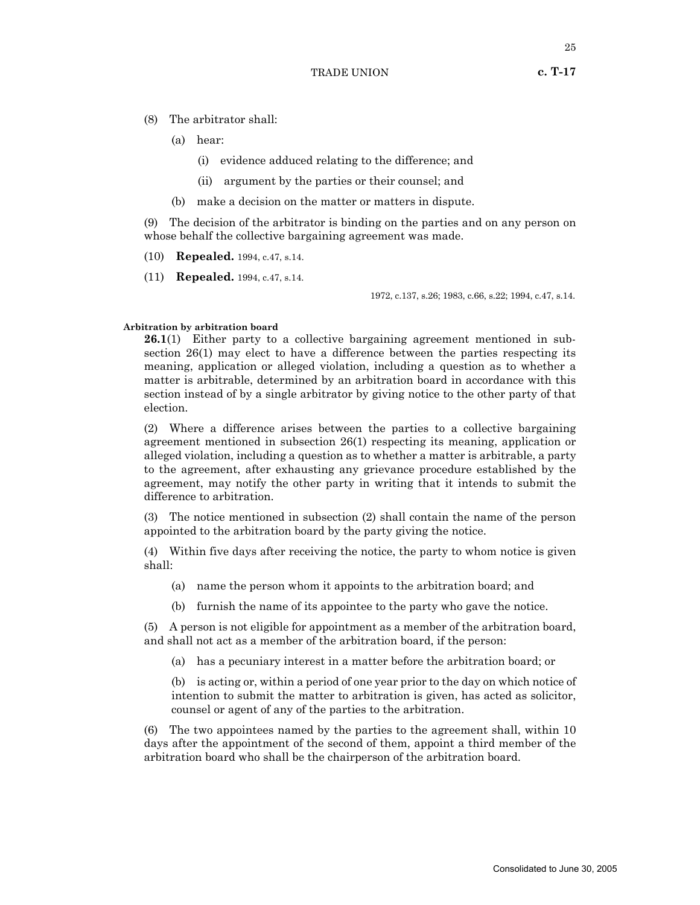- (8) The arbitrator shall:
	- (a) hear:
		- (i) evidence adduced relating to the difference; and
		- (ii) argument by the parties or their counsel; and
	- (b) make a decision on the matter or matters in dispute.

(9) The decision of the arbitrator is binding on the parties and on any person on whose behalf the collective bargaining agreement was made.

- (10) **Repealed.** 1994, c.47, s.14.
- (11) **Repealed.** 1994, c.47, s.14.

1972, c.137, s.26; 1983, c.66, s.22; 1994, c.47, s.14.

# **Arbitration by arbitration board**

**26.1**(1) Either party to a collective bargaining agreement mentioned in subsection 26(1) may elect to have a difference between the parties respecting its meaning, application or alleged violation, including a question as to whether a matter is arbitrable, determined by an arbitration board in accordance with this section instead of by a single arbitrator by giving notice to the other party of that election.

(2) Where a difference arises between the parties to a collective bargaining agreement mentioned in subsection 26(1) respecting its meaning, application or alleged violation, including a question as to whether a matter is arbitrable, a party to the agreement, after exhausting any grievance procedure established by the agreement, may notify the other party in writing that it intends to submit the difference to arbitration.

(3) The notice mentioned in subsection (2) shall contain the name of the person appointed to the arbitration board by the party giving the notice.

(4) Within five days after receiving the notice, the party to whom notice is given shall:

- (a) name the person whom it appoints to the arbitration board; and
- (b) furnish the name of its appointee to the party who gave the notice.

(5) A person is not eligible for appointment as a member of the arbitration board, and shall not act as a member of the arbitration board, if the person:

(a) has a pecuniary interest in a matter before the arbitration board; or

(b) is acting or, within a period of one year prior to the day on which notice of intention to submit the matter to arbitration is given, has acted as solicitor, counsel or agent of any of the parties to the arbitration.

(6) The two appointees named by the parties to the agreement shall, within 10 days after the appointment of the second of them, appoint a third member of the arbitration board who shall be the chairperson of the arbitration board.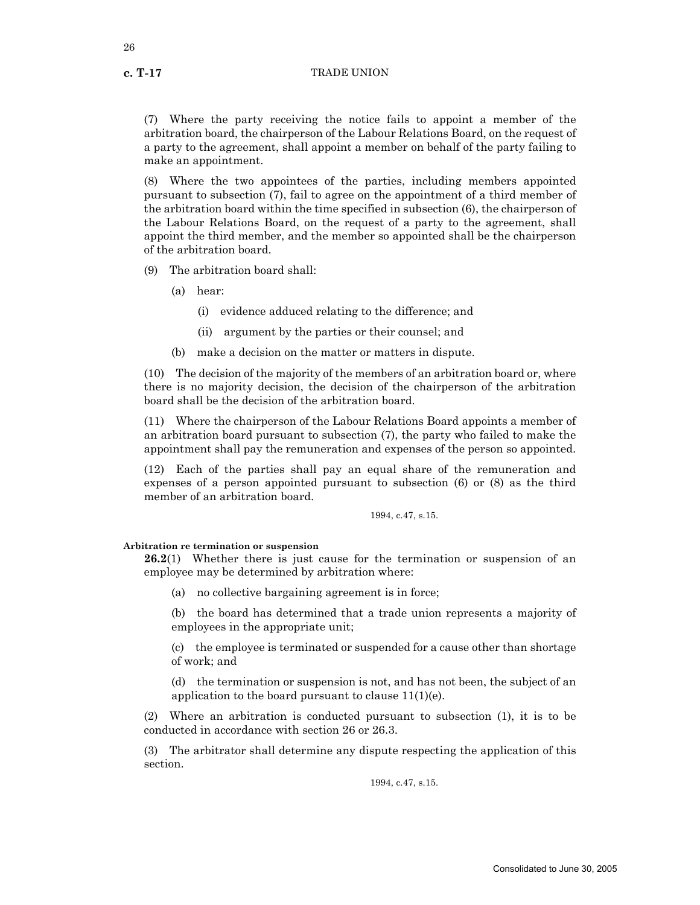(7) Where the party receiving the notice fails to appoint a member of the arbitration board, the chairperson of the Labour Relations Board, on the request of a party to the agreement, shall appoint a member on behalf of the party failing to make an appointment.

(8) Where the two appointees of the parties, including members appointed pursuant to subsection (7), fail to agree on the appointment of a third member of the arbitration board within the time specified in subsection (6), the chairperson of the Labour Relations Board, on the request of a party to the agreement, shall appoint the third member, and the member so appointed shall be the chairperson of the arbitration board.

(9) The arbitration board shall:

- (a) hear:
	- (i) evidence adduced relating to the difference; and
	- (ii) argument by the parties or their counsel; and
- (b) make a decision on the matter or matters in dispute.

(10) The decision of the majority of the members of an arbitration board or, where there is no majority decision, the decision of the chairperson of the arbitration board shall be the decision of the arbitration board.

(11) Where the chairperson of the Labour Relations Board appoints a member of an arbitration board pursuant to subsection (7), the party who failed to make the appointment shall pay the remuneration and expenses of the person so appointed.

(12) Each of the parties shall pay an equal share of the remuneration and expenses of a person appointed pursuant to subsection (6) or (8) as the third member of an arbitration board.

1994, c.47, s.15.

**Arbitration re termination or suspension**

**26.2**(1) Whether there is just cause for the termination or suspension of an employee may be determined by arbitration where:

(a) no collective bargaining agreement is in force;

(b) the board has determined that a trade union represents a majority of employees in the appropriate unit;

(c) the employee is terminated or suspended for a cause other than shortage of work; and

(d) the termination or suspension is not, and has not been, the subject of an application to the board pursuant to clause  $11(1)(e)$ .

(2) Where an arbitration is conducted pursuant to subsection (1), it is to be conducted in accordance with section 26 or 26.3.

(3) The arbitrator shall determine any dispute respecting the application of this section.

1994, c.47, s.15.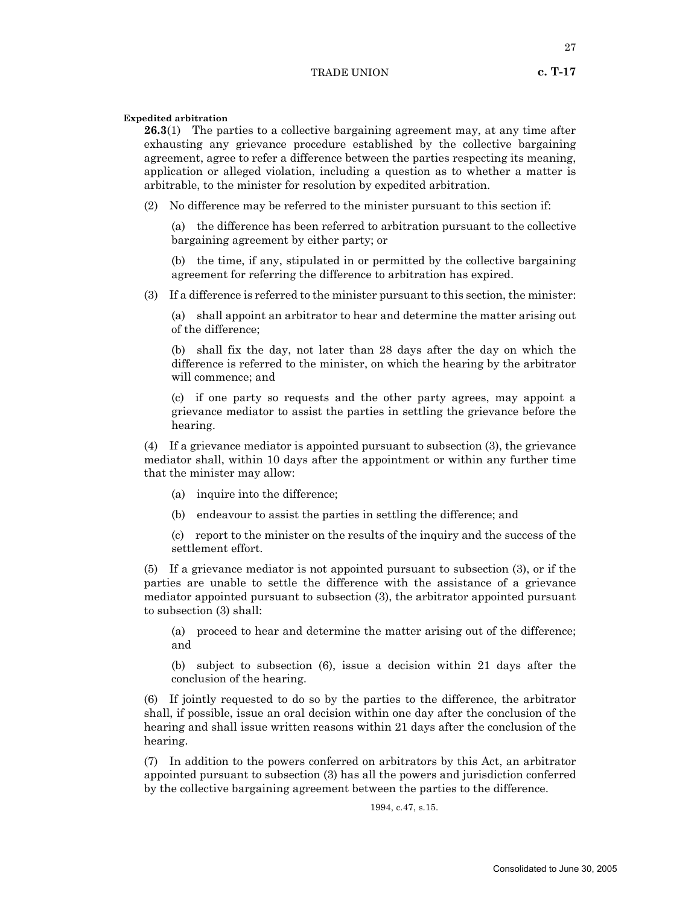# **Expedited arbitration**

**26.3**(1) The parties to a collective bargaining agreement may, at any time after exhausting any grievance procedure established by the collective bargaining agreement, agree to refer a difference between the parties respecting its meaning, application or alleged violation, including a question as to whether a matter is arbitrable, to the minister for resolution by expedited arbitration.

(2) No difference may be referred to the minister pursuant to this section if:

(a) the difference has been referred to arbitration pursuant to the collective bargaining agreement by either party; or

(b) the time, if any, stipulated in or permitted by the collective bargaining agreement for referring the difference to arbitration has expired.

(3) If a difference is referred to the minister pursuant to this section, the minister:

(a) shall appoint an arbitrator to hear and determine the matter arising out of the difference;

(b) shall fix the day, not later than 28 days after the day on which the difference is referred to the minister, on which the hearing by the arbitrator will commence; and

(c) if one party so requests and the other party agrees, may appoint a grievance mediator to assist the parties in settling the grievance before the hearing.

(4) If a grievance mediator is appointed pursuant to subsection (3), the grievance mediator shall, within 10 days after the appointment or within any further time that the minister may allow:

- (a) inquire into the difference;
- (b) endeavour to assist the parties in settling the difference; and

(c) report to the minister on the results of the inquiry and the success of the settlement effort.

(5) If a grievance mediator is not appointed pursuant to subsection (3), or if the parties are unable to settle the difference with the assistance of a grievance mediator appointed pursuant to subsection (3), the arbitrator appointed pursuant to subsection (3) shall:

(a) proceed to hear and determine the matter arising out of the difference; and

(b) subject to subsection (6), issue a decision within 21 days after the conclusion of the hearing.

(6) If jointly requested to do so by the parties to the difference, the arbitrator shall, if possible, issue an oral decision within one day after the conclusion of the hearing and shall issue written reasons within 21 days after the conclusion of the hearing.

(7) In addition to the powers conferred on arbitrators by this Act, an arbitrator appointed pursuant to subsection (3) has all the powers and jurisdiction conferred by the collective bargaining agreement between the parties to the difference.

1994, c.47, s.15.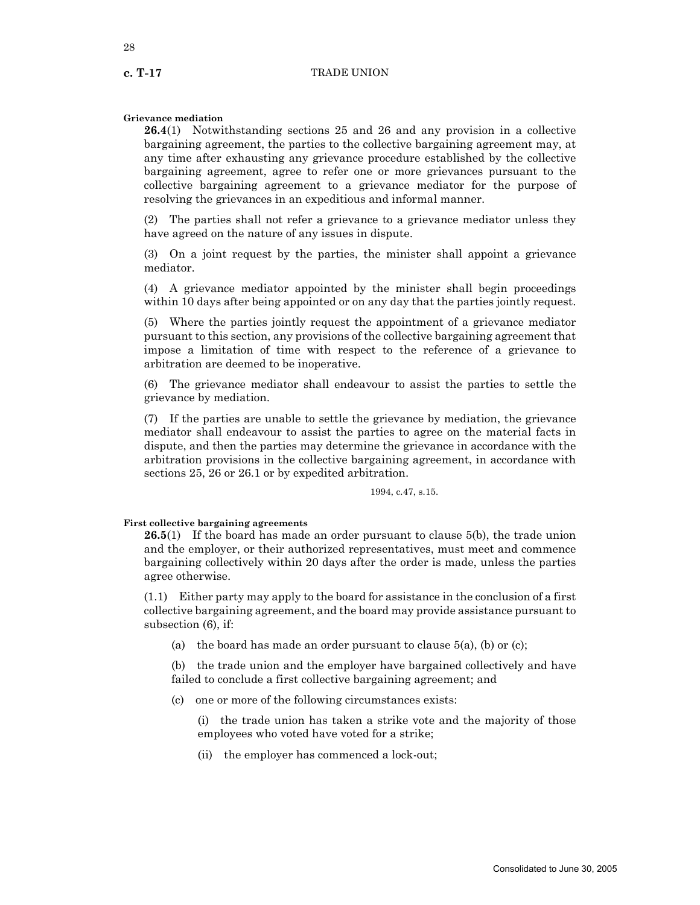28

# **Grievance mediation**

**26.4**(1) Notwithstanding sections 25 and 26 and any provision in a collective bargaining agreement, the parties to the collective bargaining agreement may, at any time after exhausting any grievance procedure established by the collective bargaining agreement, agree to refer one or more grievances pursuant to the collective bargaining agreement to a grievance mediator for the purpose of resolving the grievances in an expeditious and informal manner.

(2) The parties shall not refer a grievance to a grievance mediator unless they have agreed on the nature of any issues in dispute.

(3) On a joint request by the parties, the minister shall appoint a grievance mediator.

(4) A grievance mediator appointed by the minister shall begin proceedings within 10 days after being appointed or on any day that the parties jointly request.

(5) Where the parties jointly request the appointment of a grievance mediator pursuant to this section, any provisions of the collective bargaining agreement that impose a limitation of time with respect to the reference of a grievance to arbitration are deemed to be inoperative.

(6) The grievance mediator shall endeavour to assist the parties to settle the grievance by mediation.

(7) If the parties are unable to settle the grievance by mediation, the grievance mediator shall endeavour to assist the parties to agree on the material facts in dispute, and then the parties may determine the grievance in accordance with the arbitration provisions in the collective bargaining agreement, in accordance with sections 25, 26 or 26.1 or by expedited arbitration.

#### 1994, c.47, s.15.

# **First collective bargaining agreements**

**26.5**(1) If the board has made an order pursuant to clause 5(b), the trade union and the employer, or their authorized representatives, must meet and commence bargaining collectively within 20 days after the order is made, unless the parties agree otherwise.

(1.1) Either party may apply to the board for assistance in the conclusion of a first collective bargaining agreement, and the board may provide assistance pursuant to subsection (6), if:

(a) the board has made an order pursuant to clause  $5(a)$ , (b) or (c);

(b) the trade union and the employer have bargained collectively and have failed to conclude a first collective bargaining agreement; and

(c) one or more of the following circumstances exists:

(i) the trade union has taken a strike vote and the majority of those employees who voted have voted for a strike;

(ii) the employer has commenced a lock-out;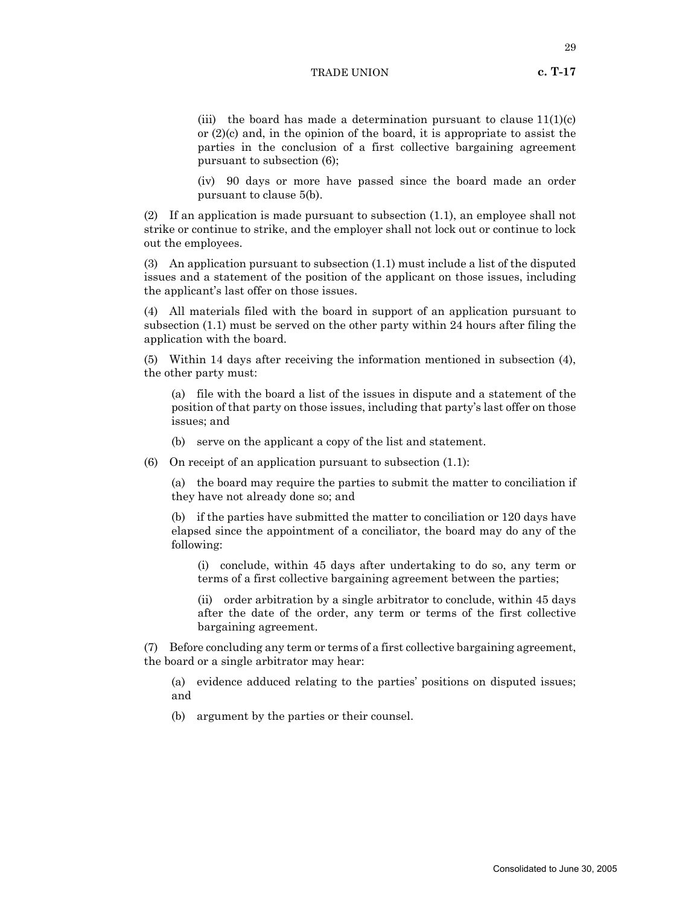29

(iii) the board has made a determination pursuant to clause  $11(1)(c)$ or  $(2)(c)$  and, in the opinion of the board, it is appropriate to assist the parties in the conclusion of a first collective bargaining agreement pursuant to subsection (6);

(iv) 90 days or more have passed since the board made an order pursuant to clause 5(b).

(2) If an application is made pursuant to subsection (1.1), an employee shall not strike or continue to strike, and the employer shall not lock out or continue to lock out the employees.

(3) An application pursuant to subsection (1.1) must include a list of the disputed issues and a statement of the position of the applicant on those issues, including the applicant's last offer on those issues.

(4) All materials filed with the board in support of an application pursuant to subsection (1.1) must be served on the other party within 24 hours after filing the application with the board.

(5) Within 14 days after receiving the information mentioned in subsection (4), the other party must:

(a) file with the board a list of the issues in dispute and a statement of the position of that party on those issues, including that party's last offer on those issues; and

- (b) serve on the applicant a copy of the list and statement.
- (6) On receipt of an application pursuant to subsection  $(1.1)$ :

(a) the board may require the parties to submit the matter to conciliation if they have not already done so; and

(b) if the parties have submitted the matter to conciliation or 120 days have elapsed since the appointment of a conciliator, the board may do any of the following:

(i) conclude, within 45 days after undertaking to do so, any term or terms of a first collective bargaining agreement between the parties;

(ii) order arbitration by a single arbitrator to conclude, within 45 days after the date of the order, any term or terms of the first collective bargaining agreement.

(7) Before concluding any term or terms of a first collective bargaining agreement, the board or a single arbitrator may hear:

(a) evidence adduced relating to the parties' positions on disputed issues; and

(b) argument by the parties or their counsel.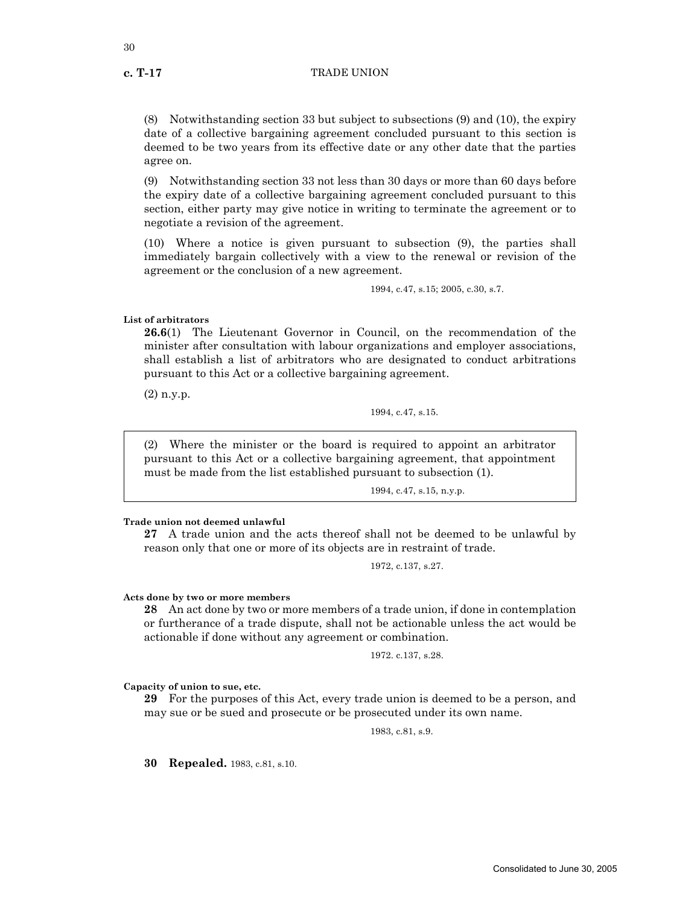(8) Notwithstanding section 33 but subject to subsections (9) and (10), the expiry date of a collective bargaining agreement concluded pursuant to this section is deemed to be two years from its effective date or any other date that the parties agree on.

(9) Notwithstanding section 33 not less than 30 days or more than 60 days before the expiry date of a collective bargaining agreement concluded pursuant to this section, either party may give notice in writing to terminate the agreement or to negotiate a revision of the agreement.

(10) Where a notice is given pursuant to subsection (9), the parties shall immediately bargain collectively with a view to the renewal or revision of the agreement or the conclusion of a new agreement.

1994, c.47, s.15; 2005, c.30, s.7.

**List of arbitrators**

**26.6**(1) The Lieutenant Governor in Council, on the recommendation of the minister after consultation with labour organizations and employer associations, shall establish a list of arbitrators who are designated to conduct arbitrations pursuant to this Act or a collective bargaining agreement.

(2) n.y.p.

1994, c.47, s.15.

(2) Where the minister or the board is required to appoint an arbitrator pursuant to this Act or a collective bargaining agreement, that appointment must be made from the list established pursuant to subsection (1).

1994, c.47, s.15, n.y.p.

## **Trade union not deemed unlawful**

**27** A trade union and the acts thereof shall not be deemed to be unlawful by reason only that one or more of its objects are in restraint of trade.

1972, c.137, s.27.

# **Acts done by two or more members**

**28** An act done by two or more members of a trade union, if done in contemplation or furtherance of a trade dispute, shall not be actionable unless the act would be actionable if done without any agreement or combination.

1972. c.137, s.28.

**Capacity of union to sue, etc.**

**29** For the purposes of this Act, every trade union is deemed to be a person, and may sue or be sued and prosecute or be prosecuted under its own name.

1983, c.81, s.9.

**30 Repealed.** 1983, c.81, s.10.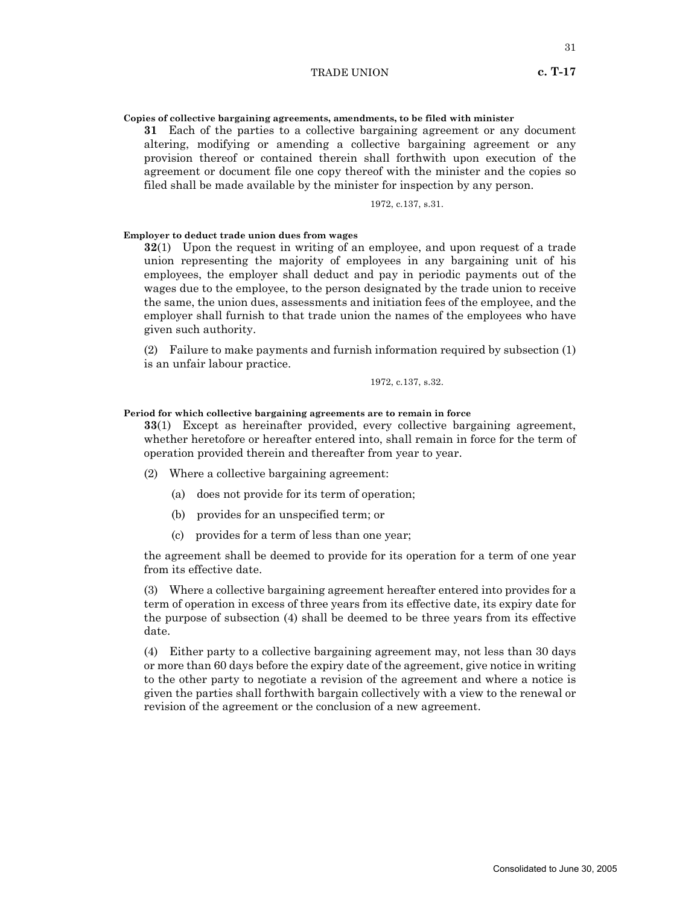### **Copies of collective bargaining agreements, amendments, to be filed with minister**

**31** Each of the parties to a collective bargaining agreement or any document altering, modifying or amending a collective bargaining agreement or any provision thereof or contained therein shall forthwith upon execution of the agreement or document file one copy thereof with the minister and the copies so filed shall be made available by the minister for inspection by any person.

1972, c.137, s.31.

#### **Employer to deduct trade union dues from wages**

**32**(1) Upon the request in writing of an employee, and upon request of a trade union representing the majority of employees in any bargaining unit of his employees, the employer shall deduct and pay in periodic payments out of the wages due to the employee, to the person designated by the trade union to receive the same, the union dues, assessments and initiation fees of the employee, and the employer shall furnish to that trade union the names of the employees who have given such authority.

(2) Failure to make payments and furnish information required by subsection (1) is an unfair labour practice.

$$
1972,\,c.137,\,s.32.
$$

**Period for which collective bargaining agreements are to remain in force**

**33**(1) Except as hereinafter provided, every collective bargaining agreement, whether heretofore or hereafter entered into, shall remain in force for the term of operation provided therein and thereafter from year to year.

- (2) Where a collective bargaining agreement:
	- (a) does not provide for its term of operation;
	- (b) provides for an unspecified term; or
	- (c) provides for a term of less than one year;

the agreement shall be deemed to provide for its operation for a term of one year from its effective date.

(3) Where a collective bargaining agreement hereafter entered into provides for a term of operation in excess of three years from its effective date, its expiry date for the purpose of subsection (4) shall be deemed to be three years from its effective date.

(4) Either party to a collective bargaining agreement may, not less than 30 days or more than 60 days before the expiry date of the agreement, give notice in writing to the other party to negotiate a revision of the agreement and where a notice is given the parties shall forthwith bargain collectively with a view to the renewal or revision of the agreement or the conclusion of a new agreement.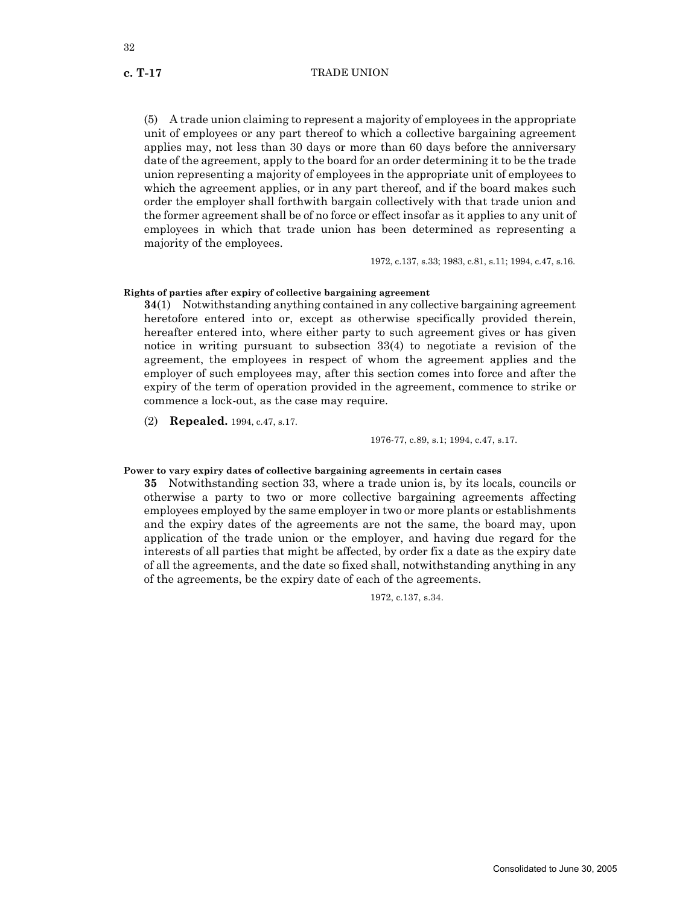(5) A trade union claiming to represent a majority of employees in the appropriate unit of employees or any part thereof to which a collective bargaining agreement applies may, not less than 30 days or more than 60 days before the anniversary date of the agreement, apply to the board for an order determining it to be the trade union representing a majority of employees in the appropriate unit of employees to which the agreement applies, or in any part thereof, and if the board makes such order the employer shall forthwith bargain collectively with that trade union and the former agreement shall be of no force or effect insofar as it applies to any unit of employees in which that trade union has been determined as representing a majority of the employees.

1972, c.137, s.33; 1983, c.81, s.11; 1994, c.47, s.16.

# **Rights of parties after expiry of collective bargaining agreement**

**34**(1) Notwithstanding anything contained in any collective bargaining agreement heretofore entered into or, except as otherwise specifically provided therein, hereafter entered into, where either party to such agreement gives or has given notice in writing pursuant to subsection 33(4) to negotiate a revision of the agreement, the employees in respect of whom the agreement applies and the employer of such employees may, after this section comes into force and after the expiry of the term of operation provided in the agreement, commence to strike or commence a lock-out, as the case may require.

(2) **Repealed.** 1994, c.47, s.17.

1976-77, c.89, s.1; 1994, c.47, s.17.

# **Power to vary expiry dates of collective bargaining agreements in certain cases**

**35** Notwithstanding section 33, where a trade union is, by its locals, councils or otherwise a party to two or more collective bargaining agreements affecting employees employed by the same employer in two or more plants or establishments and the expiry dates of the agreements are not the same, the board may, upon application of the trade union or the employer, and having due regard for the interests of all parties that might be affected, by order fix a date as the expiry date of all the agreements, and the date so fixed shall, notwithstanding anything in any of the agreements, be the expiry date of each of the agreements.

1972, c.137, s.34.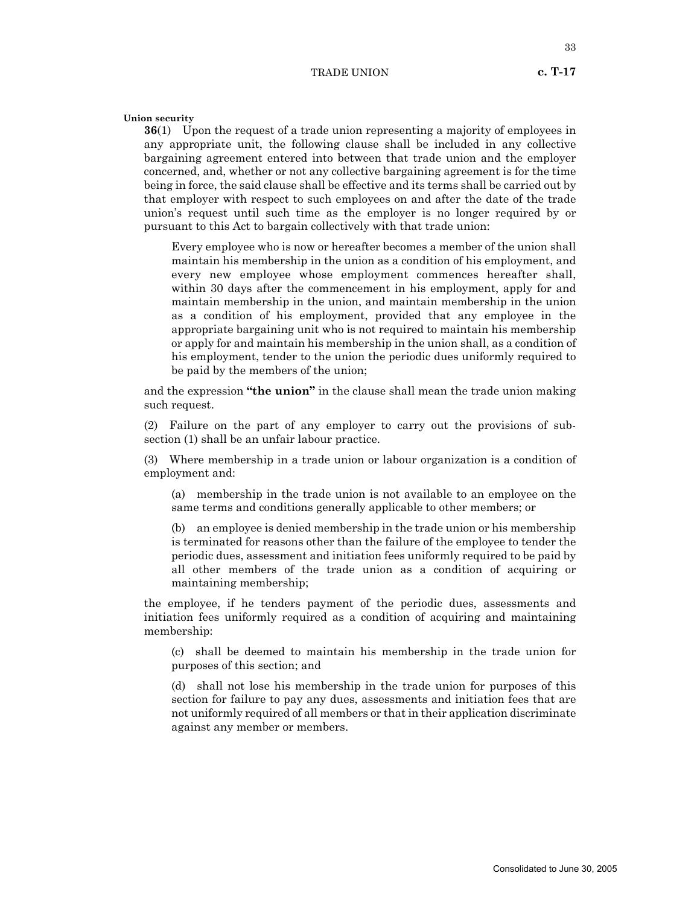**Union security**

**36**(1) Upon the request of a trade union representing a majority of employees in any appropriate unit, the following clause shall be included in any collective bargaining agreement entered into between that trade union and the employer concerned, and, whether or not any collective bargaining agreement is for the time being in force, the said clause shall be effective and its terms shall be carried out by that employer with respect to such employees on and after the date of the trade union's request until such time as the employer is no longer required by or pursuant to this Act to bargain collectively with that trade union:

Every employee who is now or hereafter becomes a member of the union shall maintain his membership in the union as a condition of his employment, and every new employee whose employment commences hereafter shall, within 30 days after the commencement in his employment, apply for and maintain membership in the union, and maintain membership in the union as a condition of his employment, provided that any employee in the appropriate bargaining unit who is not required to maintain his membership or apply for and maintain his membership in the union shall, as a condition of his employment, tender to the union the periodic dues uniformly required to be paid by the members of the union;

and the expression **"the union"** in the clause shall mean the trade union making such request.

(2) Failure on the part of any employer to carry out the provisions of subsection (1) shall be an unfair labour practice.

(3) Where membership in a trade union or labour organization is a condition of employment and:

(a) membership in the trade union is not available to an employee on the same terms and conditions generally applicable to other members; or

(b) an employee is denied membership in the trade union or his membership is terminated for reasons other than the failure of the employee to tender the periodic dues, assessment and initiation fees uniformly required to be paid by all other members of the trade union as a condition of acquiring or maintaining membership;

the employee, if he tenders payment of the periodic dues, assessments and initiation fees uniformly required as a condition of acquiring and maintaining membership:

(c) shall be deemed to maintain his membership in the trade union for purposes of this section; and

(d) shall not lose his membership in the trade union for purposes of this section for failure to pay any dues, assessments and initiation fees that are not uniformly required of all members or that in their application discriminate against any member or members.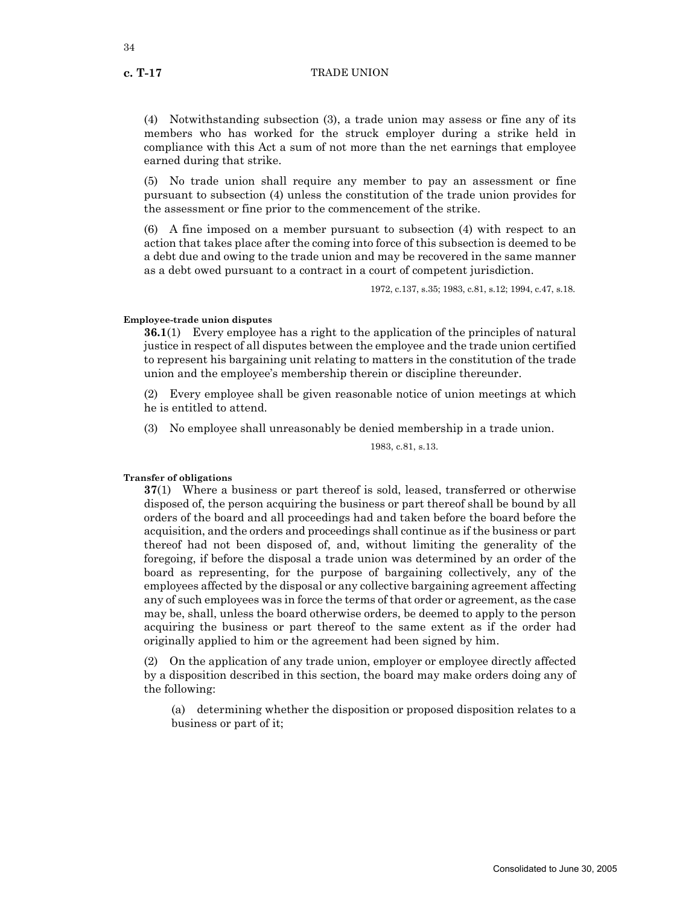(4) Notwithstanding subsection (3), a trade union may assess or fine any of its members who has worked for the struck employer during a strike held in compliance with this Act a sum of not more than the net earnings that employee earned during that strike.

(5) No trade union shall require any member to pay an assessment or fine pursuant to subsection (4) unless the constitution of the trade union provides for the assessment or fine prior to the commencement of the strike.

(6) A fine imposed on a member pursuant to subsection (4) with respect to an action that takes place after the coming into force of this subsection is deemed to be a debt due and owing to the trade union and may be recovered in the same manner as a debt owed pursuant to a contract in a court of competent jurisdiction.

1972, c.137, s.35; 1983, c.81, s.12; 1994, c.47, s.18.

# **Employee-trade union disputes**

**36.1**(1) Every employee has a right to the application of the principles of natural justice in respect of all disputes between the employee and the trade union certified to represent his bargaining unit relating to matters in the constitution of the trade union and the employee's membership therein or discipline thereunder.

(2) Every employee shall be given reasonable notice of union meetings at which he is entitled to attend.

(3) No employee shall unreasonably be denied membership in a trade union.

1983, c.81, s.13.

#### **Transfer of obligations**

**37**(1) Where a business or part thereof is sold, leased, transferred or otherwise disposed of, the person acquiring the business or part thereof shall be bound by all orders of the board and all proceedings had and taken before the board before the acquisition, and the orders and proceedings shall continue as if the business or part thereof had not been disposed of, and, without limiting the generality of the foregoing, if before the disposal a trade union was determined by an order of the board as representing, for the purpose of bargaining collectively, any of the employees affected by the disposal or any collective bargaining agreement affecting any of such employees was in force the terms of that order or agreement, as the case may be, shall, unless the board otherwise orders, be deemed to apply to the person acquiring the business or part thereof to the same extent as if the order had originally applied to him or the agreement had been signed by him.

(2) On the application of any trade union, employer or employee directly affected by a disposition described in this section, the board may make orders doing any of the following:

(a) determining whether the disposition or proposed disposition relates to a business or part of it;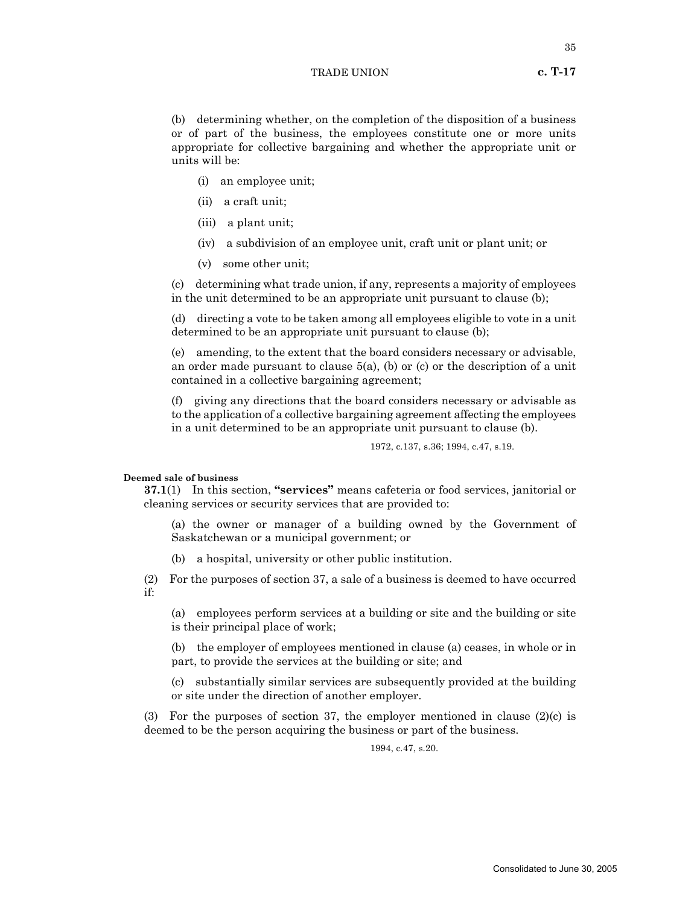(b) determining whether, on the completion of the disposition of a business or of part of the business, the employees constitute one or more units appropriate for collective bargaining and whether the appropriate unit or units will be:

- (i) an employee unit;
- (ii) a craft unit;
- (iii) a plant unit;
- (iv) a subdivision of an employee unit, craft unit or plant unit; or
- (v) some other unit;

(c) determining what trade union, if any, represents a majority of employees in the unit determined to be an appropriate unit pursuant to clause (b);

(d) directing a vote to be taken among all employees eligible to vote in a unit determined to be an appropriate unit pursuant to clause (b);

(e) amending, to the extent that the board considers necessary or advisable, an order made pursuant to clause 5(a), (b) or (c) or the description of a unit contained in a collective bargaining agreement;

(f) giving any directions that the board considers necessary or advisable as to the application of a collective bargaining agreement affecting the employees in a unit determined to be an appropriate unit pursuant to clause (b).

1972, c.137, s.36; 1994, c.47, s.19.

#### **Deemed sale of business**

**37.1**(1) In this section, **"services"** means cafeteria or food services, janitorial or cleaning services or security services that are provided to:

(a) the owner or manager of a building owned by the Government of Saskatchewan or a municipal government; or

(b) a hospital, university or other public institution.

(2) For the purposes of section 37, a sale of a business is deemed to have occurred if:

(a) employees perform services at a building or site and the building or site is their principal place of work;

(b) the employer of employees mentioned in clause (a) ceases, in whole or in part, to provide the services at the building or site; and

(c) substantially similar services are subsequently provided at the building or site under the direction of another employer.

(3) For the purposes of section 37, the employer mentioned in clause  $(2)(c)$  is deemed to be the person acquiring the business or part of the business.

1994, c.47, s.20.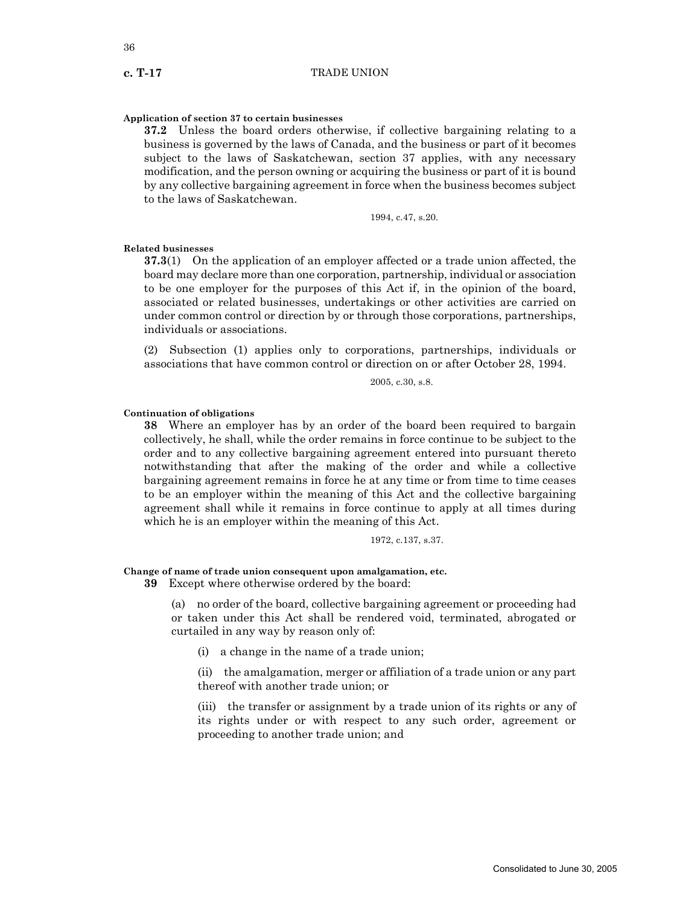#### **Application of section 37 to certain businesses**

**37.2** Unless the board orders otherwise, if collective bargaining relating to a business is governed by the laws of Canada, and the business or part of it becomes subject to the laws of Saskatchewan, section 37 applies, with any necessary modification, and the person owning or acquiring the business or part of it is bound by any collective bargaining agreement in force when the business becomes subject to the laws of Saskatchewan.

1994, c.47, s.20.

#### **Related businesses**

**37.3**(1) On the application of an employer affected or a trade union affected, the board may declare more than one corporation, partnership, individual or association to be one employer for the purposes of this Act if, in the opinion of the board, associated or related businesses, undertakings or other activities are carried on under common control or direction by or through those corporations, partnerships, individuals or associations.

(2) Subsection (1) applies only to corporations, partnerships, individuals or associations that have common control or direction on or after October 28, 1994.

2005, c.30, s.8.

# **Continuation of obligations**

**38** Where an employer has by an order of the board been required to bargain collectively, he shall, while the order remains in force continue to be subject to the order and to any collective bargaining agreement entered into pursuant thereto notwithstanding that after the making of the order and while a collective bargaining agreement remains in force he at any time or from time to time ceases to be an employer within the meaning of this Act and the collective bargaining agreement shall while it remains in force continue to apply at all times during which he is an employer within the meaning of this Act.

1972, c.137, s.37.

#### **Change of name of trade union consequent upon amalgamation, etc.**

**39** Except where otherwise ordered by the board:

(a) no order of the board, collective bargaining agreement or proceeding had or taken under this Act shall be rendered void, terminated, abrogated or curtailed in any way by reason only of:

(i) a change in the name of a trade union;

(ii) the amalgamation, merger or affiliation of a trade union or any part thereof with another trade union; or

(iii) the transfer or assignment by a trade union of its rights or any of its rights under or with respect to any such order, agreement or proceeding to another trade union; and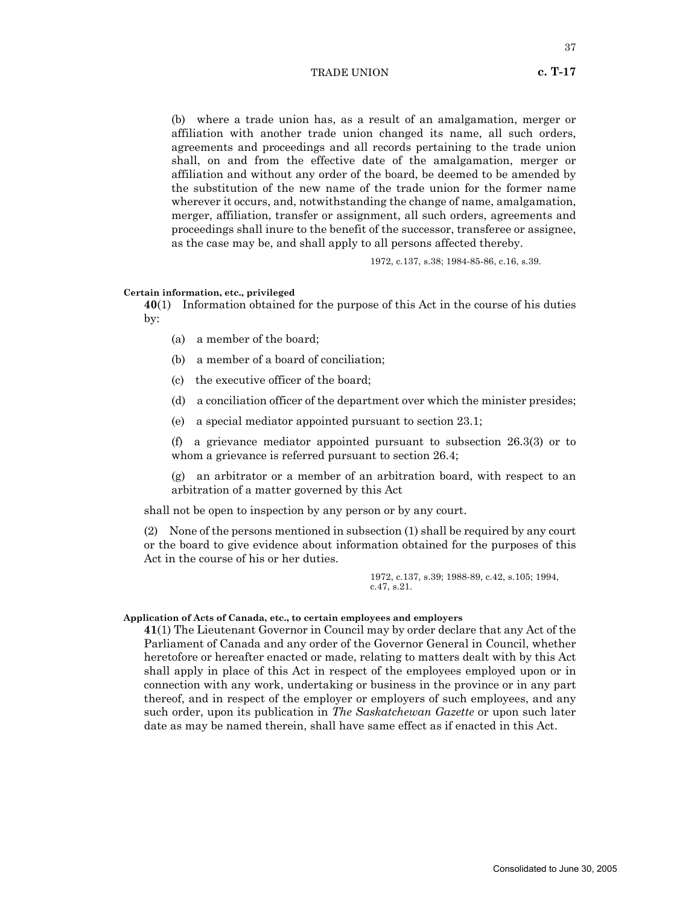37

(b) where a trade union has, as a result of an amalgamation, merger or affiliation with another trade union changed its name, all such orders, agreements and proceedings and all records pertaining to the trade union shall, on and from the effective date of the amalgamation, merger or affiliation and without any order of the board, be deemed to be amended by the substitution of the new name of the trade union for the former name wherever it occurs, and, notwithstanding the change of name, amalgamation, merger, affiliation, transfer or assignment, all such orders, agreements and proceedings shall inure to the benefit of the successor, transferee or assignee, as the case may be, and shall apply to all persons affected thereby.

1972, c.137, s.38; 1984-85-86, c.16, s.39.

#### **Certain information, etc., privileged**

**40**(1) Information obtained for the purpose of this Act in the course of his duties by:

- (a) a member of the board;
- (b) a member of a board of conciliation;
- (c) the executive officer of the board;
- (d) a conciliation officer of the department over which the minister presides;
- (e) a special mediator appointed pursuant to section 23.1;

(f) a grievance mediator appointed pursuant to subsection 26.3(3) or to whom a grievance is referred pursuant to section 26.4;

(g) an arbitrator or a member of an arbitration board, with respect to an arbitration of a matter governed by this Act

shall not be open to inspection by any person or by any court.

(2) None of the persons mentioned in subsection (1) shall be required by any court or the board to give evidence about information obtained for the purposes of this Act in the course of his or her duties.

> 1972, c.137, s.39; 1988-89, c.42, s.105; 1994, c.47, s.21.

#### **Application of Acts of Canada, etc., to certain employees and employers**

**41**(1) The Lieutenant Governor in Council may by order declare that any Act of the Parliament of Canada and any order of the Governor General in Council, whether heretofore or hereafter enacted or made, relating to matters dealt with by this Act shall apply in place of this Act in respect of the employees employed upon or in connection with any work, undertaking or business in the province or in any part thereof, and in respect of the employer or employers of such employees, and any such order, upon its publication in *The Saskatchewan Gazette* or upon such later date as may be named therein, shall have same effect as if enacted in this Act.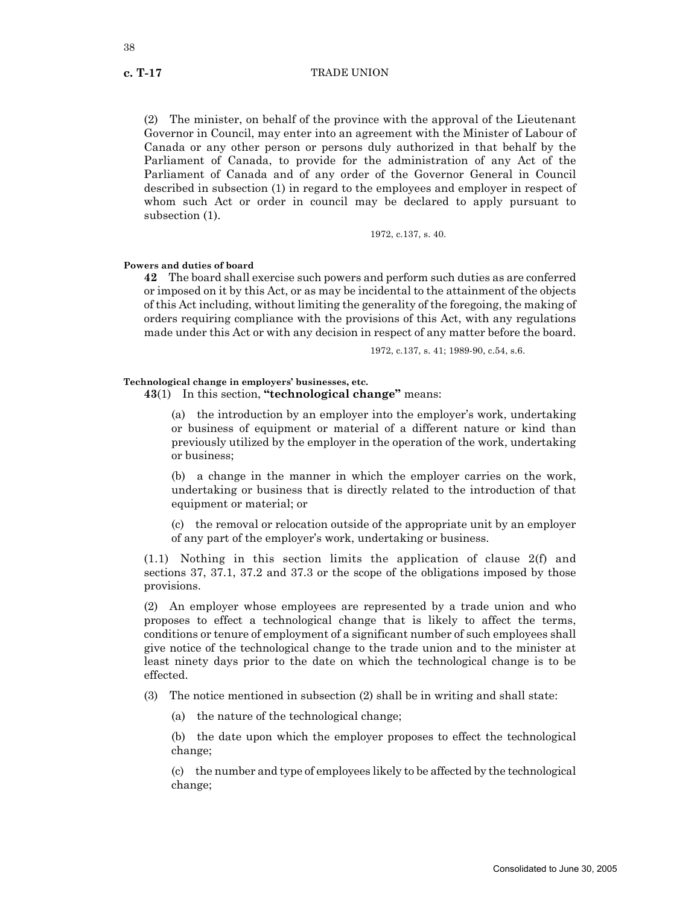(2) The minister, on behalf of the province with the approval of the Lieutenant Governor in Council, may enter into an agreement with the Minister of Labour of Canada or any other person or persons duly authorized in that behalf by the Parliament of Canada, to provide for the administration of any Act of the Parliament of Canada and of any order of the Governor General in Council described in subsection (1) in regard to the employees and employer in respect of whom such Act or order in council may be declared to apply pursuant to subsection (1).

1972, c.137, s. 40.

#### **Powers and duties of board**

**42** The board shall exercise such powers and perform such duties as are conferred or imposed on it by this Act, or as may be incidental to the attainment of the objects of this Act including, without limiting the generality of the foregoing, the making of orders requiring compliance with the provisions of this Act, with any regulations made under this Act or with any decision in respect of any matter before the board.

1972, c.137, s. 41; 1989-90, c.54, s.6.

# **Technological change in employers' businesses, etc.**

**43**(1) In this section, **"technological change"** means:

(a) the introduction by an employer into the employer's work, undertaking or business of equipment or material of a different nature or kind than previously utilized by the employer in the operation of the work, undertaking or business;

(b) a change in the manner in which the employer carries on the work, undertaking or business that is directly related to the introduction of that equipment or material; or

(c) the removal or relocation outside of the appropriate unit by an employer of any part of the employer's work, undertaking or business.

 $(1.1)$  Nothing in this section limits the application of clause  $2(f)$  and sections 37, 37.1, 37.2 and 37.3 or the scope of the obligations imposed by those provisions.

(2) An employer whose employees are represented by a trade union and who proposes to effect a technological change that is likely to affect the terms, conditions or tenure of employment of a significant number of such employees shall give notice of the technological change to the trade union and to the minister at least ninety days prior to the date on which the technological change is to be effected.

- (3) The notice mentioned in subsection (2) shall be in writing and shall state:
	- (a) the nature of the technological change;

(b) the date upon which the employer proposes to effect the technological change;

(c) the number and type of employees likely to be affected by the technological change;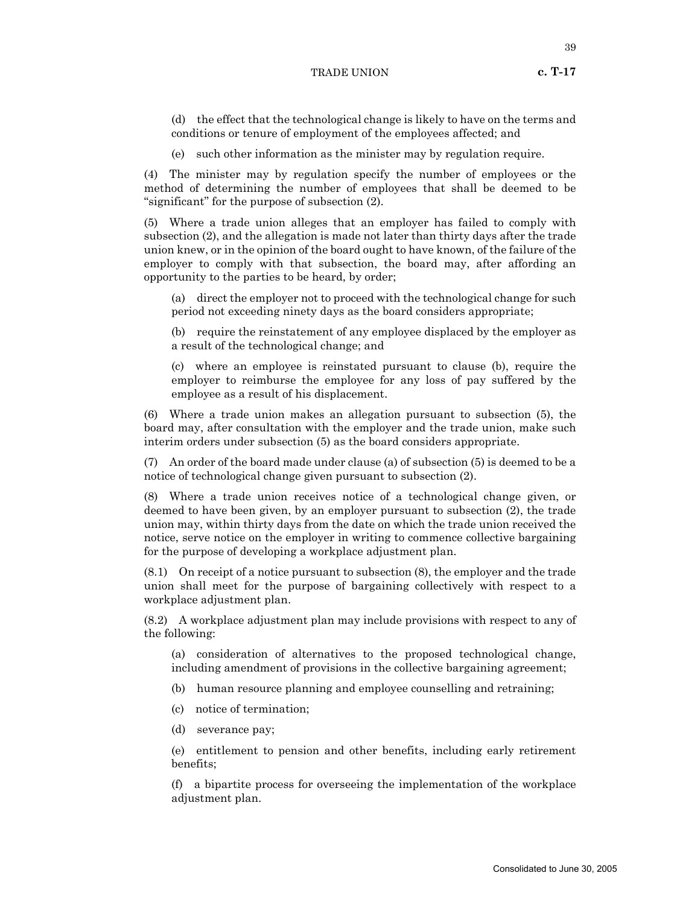(e) such other information as the minister may by regulation require.

(4) The minister may by regulation specify the number of employees or the method of determining the number of employees that shall be deemed to be "significant" for the purpose of subsection (2).

(5) Where a trade union alleges that an employer has failed to comply with subsection (2), and the allegation is made not later than thirty days after the trade union knew, or in the opinion of the board ought to have known, of the failure of the employer to comply with that subsection, the board may, after affording an opportunity to the parties to be heard, by order;

(a) direct the employer not to proceed with the technological change for such period not exceeding ninety days as the board considers appropriate;

(b) require the reinstatement of any employee displaced by the employer as a result of the technological change; and

(c) where an employee is reinstated pursuant to clause (b), require the employer to reimburse the employee for any loss of pay suffered by the employee as a result of his displacement.

(6) Where a trade union makes an allegation pursuant to subsection (5), the board may, after consultation with the employer and the trade union, make such interim orders under subsection (5) as the board considers appropriate.

(7) An order of the board made under clause (a) of subsection (5) is deemed to be a notice of technological change given pursuant to subsection (2).

(8) Where a trade union receives notice of a technological change given, or deemed to have been given, by an employer pursuant to subsection (2), the trade union may, within thirty days from the date on which the trade union received the notice, serve notice on the employer in writing to commence collective bargaining for the purpose of developing a workplace adjustment plan.

(8.1) On receipt of a notice pursuant to subsection (8), the employer and the trade union shall meet for the purpose of bargaining collectively with respect to a workplace adjustment plan.

(8.2) A workplace adjustment plan may include provisions with respect to any of the following:

(a) consideration of alternatives to the proposed technological change, including amendment of provisions in the collective bargaining agreement;

- (b) human resource planning and employee counselling and retraining;
- (c) notice of termination;
- (d) severance pay;

(e) entitlement to pension and other benefits, including early retirement benefits;

(f) a bipartite process for overseeing the implementation of the workplace adjustment plan.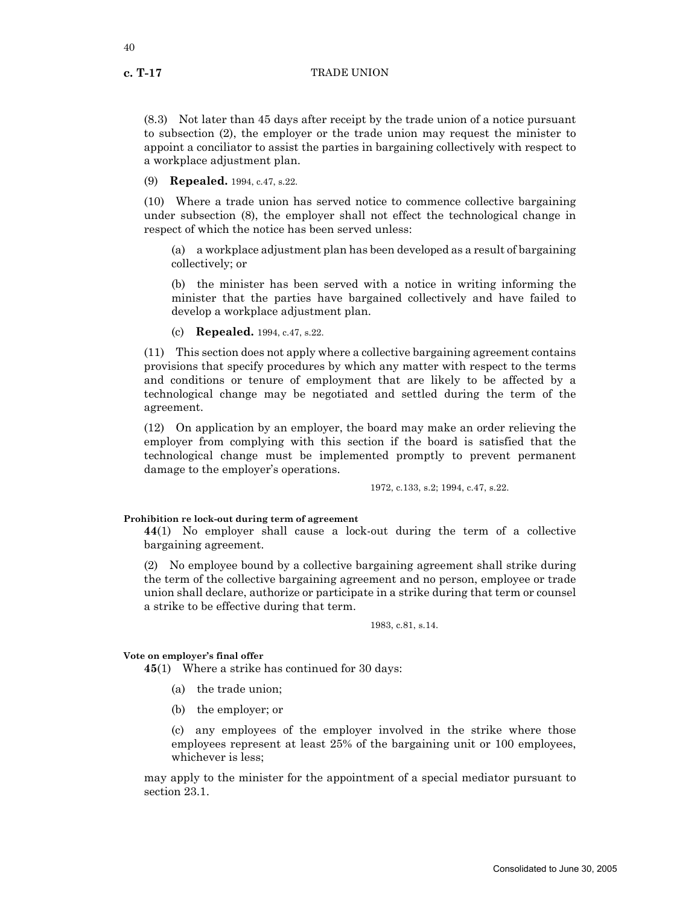(8.3) Not later than 45 days after receipt by the trade union of a notice pursuant to subsection (2), the employer or the trade union may request the minister to appoint a conciliator to assist the parties in bargaining collectively with respect to a workplace adjustment plan.

(9) **Repealed.** 1994, c.47, s.22.

(10) Where a trade union has served notice to commence collective bargaining under subsection (8), the employer shall not effect the technological change in respect of which the notice has been served unless:

(a) a workplace adjustment plan has been developed as a result of bargaining collectively; or

(b) the minister has been served with a notice in writing informing the minister that the parties have bargained collectively and have failed to develop a workplace adjustment plan.

(c) **Repealed.** 1994, c.47, s.22.

(11) This section does not apply where a collective bargaining agreement contains provisions that specify procedures by which any matter with respect to the terms and conditions or tenure of employment that are likely to be affected by a technological change may be negotiated and settled during the term of the agreement.

(12) On application by an employer, the board may make an order relieving the employer from complying with this section if the board is satisfied that the technological change must be implemented promptly to prevent permanent damage to the employer's operations.

1972, c.133, s.2; 1994, c.47, s.22.

#### **Prohibition re lock-out during term of agreement**

**44**(1) No employer shall cause a lock-out during the term of a collective bargaining agreement.

(2) No employee bound by a collective bargaining agreement shall strike during the term of the collective bargaining agreement and no person, employee or trade union shall declare, authorize or participate in a strike during that term or counsel a strike to be effective during that term.

1983, c.81, s.14.

#### **Vote on employer's final offer**

**45**(1) Where a strike has continued for 30 days:

- (a) the trade union;
- (b) the employer; or

(c) any employees of the employer involved in the strike where those employees represent at least 25% of the bargaining unit or 100 employees, whichever is less;

may apply to the minister for the appointment of a special mediator pursuant to section 23.1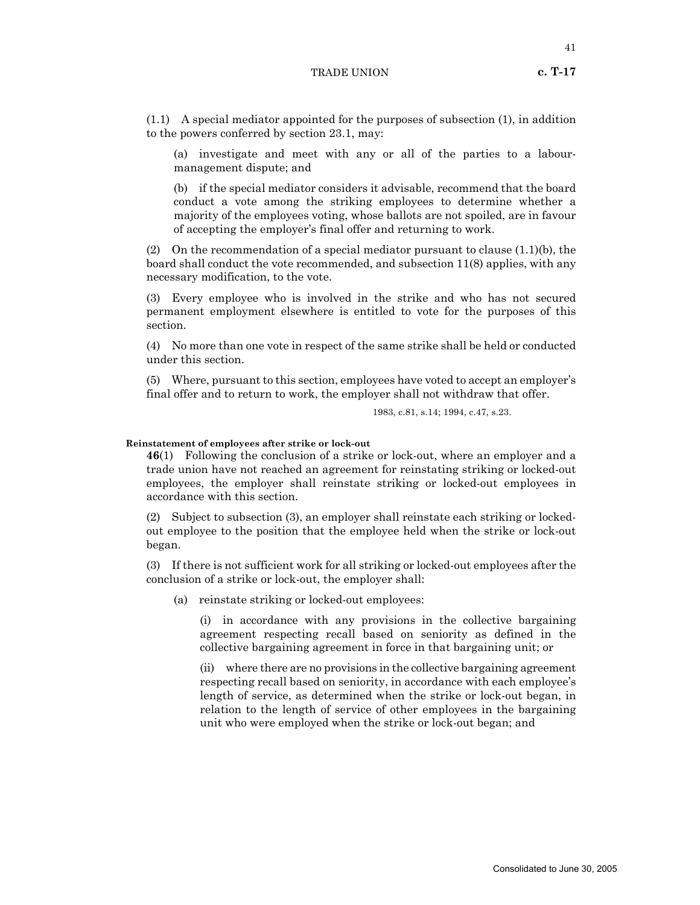(1.1) A special mediator appointed for the purposes of subsection (1), in addition to the powers conferred by section 23.1, may:

(a) investigate and meet with any or all of the parties to a labourmanagement dispute; and

(b) if the special mediator considers it advisable, recommend that the board conduct a vote among the striking employees to determine whether a majority of the employees voting, whose ballots are not spoiled, are in favour of accepting the employer's final offer and returning to work.

(2) On the recommendation of a special mediator pursuant to clause  $(1.1)(b)$ , the board shall conduct the vote recommended, and subsection 11(8) applies, with any necessary modification, to the vote.

(3) Every employee who is involved in the strike and who has not secured permanent employment elsewhere is entitled to vote for the purposes of this section.

(4) No more than one vote in respect of the same strike shall be held or conducted under this section.

(5) Where, pursuant to this section, employees have voted to accept an employer's final offer and to return to work, the employer shall not withdraw that offer.

1983, c.81, s.14; 1994, c.47, s.23.

#### **Reinstatement of employees after strike or lock-out**

**46**(1) Following the conclusion of a strike or lock-out, where an employer and a trade union have not reached an agreement for reinstating striking or locked-out employees, the employer shall reinstate striking or locked-out employees in accordance with this section.

(2) Subject to subsection (3), an employer shall reinstate each striking or lockedout employee to the position that the employee held when the strike or lock-out began.

(3) If there is not sufficient work for all striking or locked-out employees after the conclusion of a strike or lock-out, the employer shall:

(a) reinstate striking or locked-out employees:

(i) in accordance with any provisions in the collective bargaining agreement respecting recall based on seniority as defined in the collective bargaining agreement in force in that bargaining unit; or

(ii) where there are no provisions in the collective bargaining agreement respecting recall based on seniority, in accordance with each employee's length of service, as determined when the strike or lock-out began, in relation to the length of service of other employees in the bargaining unit who were employed when the strike or lock-out began; and